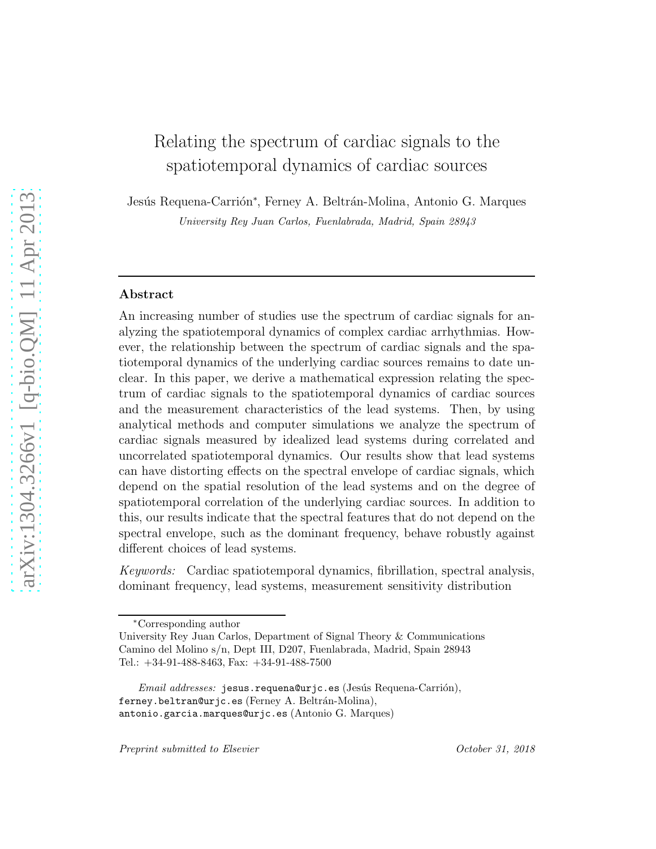# Relating the spectrum of cardiac signals to the spatiotemporal dynamics of cardiac sources

Jesús Requena-Carrión<sup>\*</sup>, Ferney A. Beltrán-Molina, Antonio G. Marques University Rey Juan Carlos, Fuenlabrada, Madrid, Spain 28943

#### Abstract

An increasing number of studies use the spectrum of cardiac signals for analyzing the spatiotemporal dynamics of complex cardiac arrhythmias. However, the relationship between the spectrum of cardiac signals and the spatiotemporal dynamics of the underlying cardiac sources remains to date unclear. In this paper, we derive a mathematical expression relating the spectrum of cardiac signals to the spatiotemporal dynamics of cardiac sources and the measurement characteristics of the lead systems. Then, by using analytical methods and computer simulations we analyze the spectrum of cardiac signals measured by idealized lead systems during correlated and uncorrelated spatiotemporal dynamics. Our results show that lead systems can have distorting effects on the spectral envelope of cardiac signals, which depend on the spatial resolution of the lead systems and on the degree of spatiotemporal correlation of the underlying cardiac sources. In addition to this, our results indicate that the spectral features that do not depend on the spectral envelope, such as the dominant frequency, behave robustly against different choices of lead systems.

Keywords: Cardiac spatiotemporal dynamics, fibrillation, spectral analysis, dominant frequency, lead systems, measurement sensitivity distribution

<sup>∗</sup>Corresponding author

University Rey Juan Carlos, Department of Signal Theory & Communications Camino del Molino s/n, Dept III, D207, Fuenlabrada, Madrid, Spain 28943 Tel.: +34-91-488-8463, Fax: +34-91-488-7500

Email addresses: jesus.requena@urjc.es (Jesús Requena-Carrión), ferney.beltran@urjc.es (Ferney A. Beltrán-Molina), antonio.garcia.marques@urjc.es (Antonio G. Marques)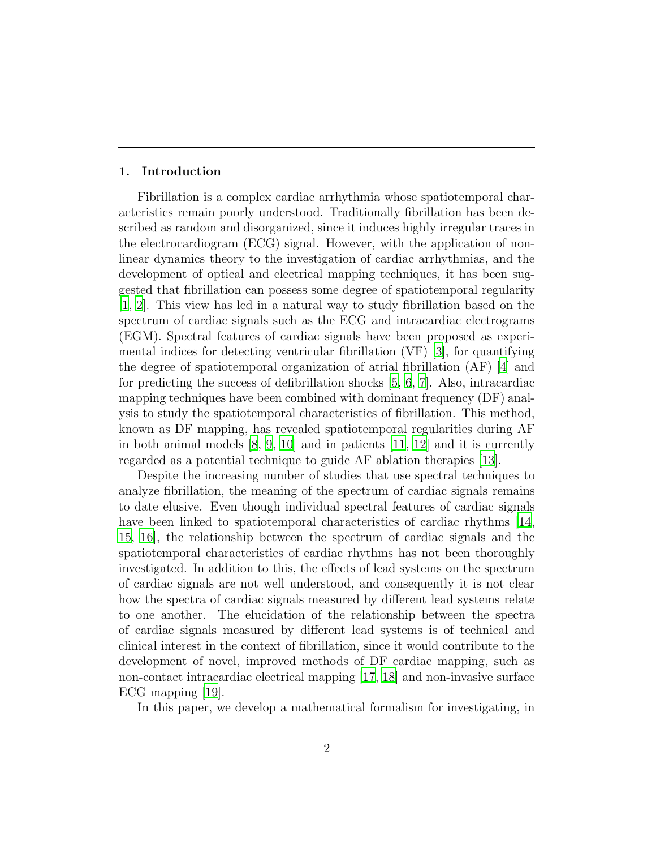#### 1. Introduction

Fibrillation is a complex cardiac arrhythmia whose spatiotemporal characteristics remain poorly understood. Traditionally fibrillation has been described as random and disorganized, since it induces highly irregular traces in the electrocardiogram (ECG) signal. However, with the application of nonlinear dynamics theory to the investigation of cardiac arrhythmias, and the development of optical and electrical mapping techniques, it has been suggested that fibrillation can possess some degree of spatiotemporal regularity [\[1,](#page-18-0) [2](#page-18-1)]. This view has led in a natural way to study fibrillation based on the spectrum of cardiac signals such as the ECG and intracardiac electrograms (EGM). Spectral features of cardiac signals have been proposed as experimental indices for detecting ventricular fibrillation (VF) [\[3\]](#page-18-2), for quantifying the degree of spatiotemporal organization of atrial fibrillation (AF) [\[4\]](#page-18-3) and for predicting the success of defibrillation shocks [\[5,](#page-19-0) [6](#page-19-1), [7](#page-19-2)]. Also, intracardiac mapping techniques have been combined with dominant frequency (DF) analysis to study the spatiotemporal characteristics of fibrillation. This method, known as DF mapping, has revealed spatiotemporal regularities during AF in both animal models  $[8, 9, 10]$  $[8, 9, 10]$  $[8, 9, 10]$  $[8, 9, 10]$  and in patients  $[11, 12]$  $[11, 12]$  $[11, 12]$  and it is currently regarded as a potential technique to guide AF ablation therapies [\[13\]](#page-19-8).

Despite the increasing number of studies that use spectral techniques to analyze fibrillation, the meaning of the spectrum of cardiac signals remains to date elusive. Even though individual spectral features of cardiac signals have been linked to spatiotemporal characteristics of cardiac rhythms [\[14](#page-20-0), [15,](#page-20-1) [16\]](#page-20-2), the relationship between the spectrum of cardiac signals and the spatiotemporal characteristics of cardiac rhythms has not been thoroughly investigated. In addition to this, the effects of lead systems on the spectrum of cardiac signals are not well understood, and consequently it is not clear how the spectra of cardiac signals measured by different lead systems relate to one another. The elucidation of the relationship between the spectra of cardiac signals measured by different lead systems is of technical and clinical interest in the context of fibrillation, since it would contribute to the development of novel, improved methods of DF cardiac mapping, such as non-contact intracardiac electrical mapping [\[17,](#page-20-3) [18\]](#page-20-4) and non-invasive surface ECG mapping [\[19\]](#page-20-5).

In this paper, we develop a mathematical formalism for investigating, in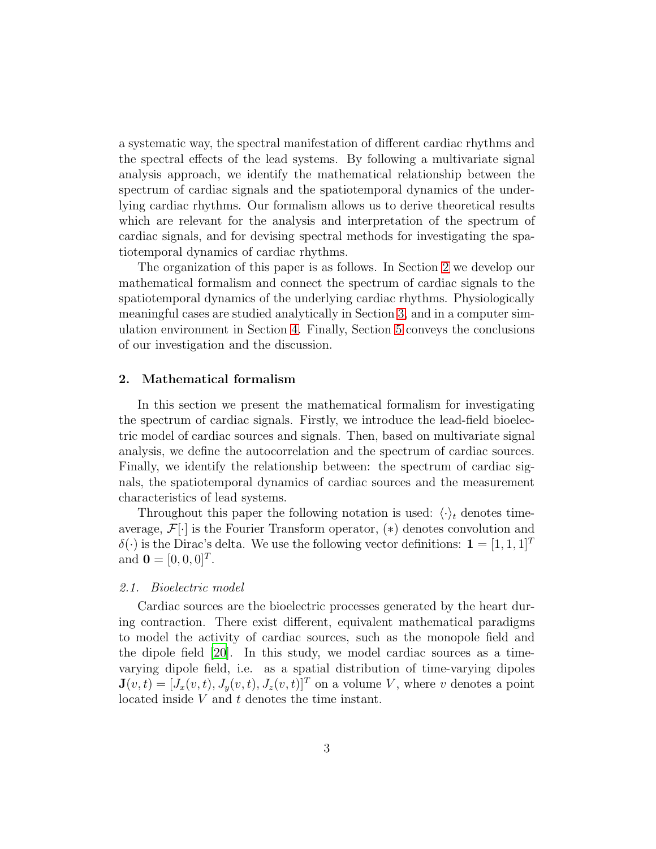a systematic way, the spectral manifestation of different cardiac rhythms and the spectral effects of the lead systems. By following a multivariate signal analysis approach, we identify the mathematical relationship between the spectrum of cardiac signals and the spatiotemporal dynamics of the underlying cardiac rhythms. Our formalism allows us to derive theoretical results which are relevant for the analysis and interpretation of the spectrum of cardiac signals, and for devising spectral methods for investigating the spatiotemporal dynamics of cardiac rhythms.

The organization of this paper is as follows. In Section [2](#page-2-0) we develop our mathematical formalism and connect the spectrum of cardiac signals to the spatiotemporal dynamics of the underlying cardiac rhythms. Physiologically meaningful cases are studied analytically in Section [3,](#page-5-0) and in a computer simulation environment in Section [4.](#page-9-0) Finally, Section [5](#page-14-0) conveys the conclusions of our investigation and the discussion.

## <span id="page-2-0"></span>2. Mathematical formalism

In this section we present the mathematical formalism for investigating the spectrum of cardiac signals. Firstly, we introduce the lead-field bioelectric model of cardiac sources and signals. Then, based on multivariate signal analysis, we define the autocorrelation and the spectrum of cardiac sources. Finally, we identify the relationship between: the spectrum of cardiac signals, the spatiotemporal dynamics of cardiac sources and the measurement characteristics of lead systems.

Throughout this paper the following notation is used:  $\langle \cdot \rangle_t$  denotes timeaverage,  $\mathcal{F}[\cdot]$  is the Fourier Transform operator,  $(*)$  denotes convolution and  $\delta(\cdot)$  is the Dirac's delta. We use the following vector definitions:  $\mathbf{1} = [1, 1, 1]^T$ and  $\mathbf{0} = [0, 0, 0]^T$ .

#### 2.1. Bioelectric model

Cardiac sources are the bioelectric processes generated by the heart during contraction. There exist different, equivalent mathematical paradigms to model the activity of cardiac sources, such as the monopole field and the dipole field [\[20](#page-20-6)]. In this study, we model cardiac sources as a timevarying dipole field, i.e. as a spatial distribution of time-varying dipoles  $\mathbf{J}(v,t) = [J_x(v,t), J_y(v,t), J_z(v,t)]^T$  on a volume V, where v denotes a point located inside V and t denotes the time instant.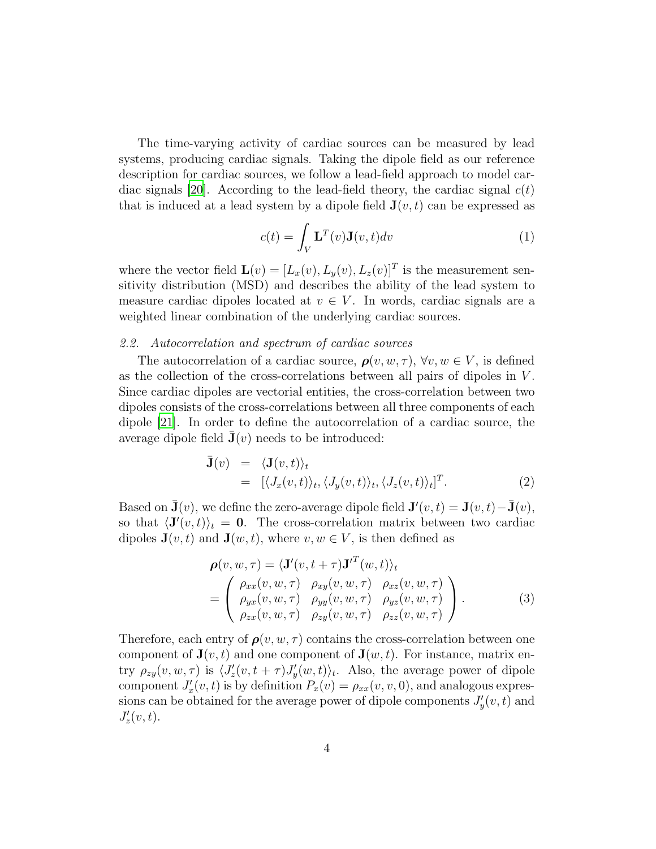The time-varying activity of cardiac sources can be measured by lead systems, producing cardiac signals. Taking the dipole field as our reference description for cardiac sources, we follow a lead-field approach to model car-diac signals [\[20\]](#page-20-6). According to the lead-field theory, the cardiac signal  $c(t)$ that is induced at a lead system by a dipole field  $\mathbf{J}(v, t)$  can be expressed as

<span id="page-3-0"></span>
$$
c(t) = \int_{V} \mathbf{L}^{T}(v) \mathbf{J}(v, t) dv
$$
 (1)

where the vector field  $\mathbf{L}(v) = [L_x(v), L_y(v), L_z(v)]^T$  is the measurement sensitivity distribution (MSD) and describes the ability of the lead system to measure cardiac dipoles located at  $v \in V$ . In words, cardiac signals are a weighted linear combination of the underlying cardiac sources.

## 2.2. Autocorrelation and spectrum of cardiac sources

The autocorrelation of a cardiac source,  $\rho(v, w, \tau)$ ,  $\forall v, w \in V$ , is defined as the collection of the cross-correlations between all pairs of dipoles in  $V$ . Since cardiac dipoles are vectorial entities, the cross-correlation between two dipoles consists of the cross-correlations between all three components of each dipole [\[21\]](#page-20-7). In order to define the autocorrelation of a cardiac source, the average dipole field  $\mathbf{J}(v)$  needs to be introduced:

$$
\bar{\mathbf{J}}(v) = \langle \mathbf{J}(v,t) \rangle_t \n= [\langle J_x(v,t) \rangle_t, \langle J_y(v,t) \rangle_t, \langle J_z(v,t) \rangle_t]^T.
$$
\n(2)

Based on  $\bar{\mathbf{J}}(v)$ , we define the zero-average dipole field  $\mathbf{J}'(v,t) = \mathbf{J}(v,t) - \bar{\mathbf{J}}(v)$ , so that  $\langle \mathbf{J}'(v,t) \rangle_t = \mathbf{0}$ . The cross-correlation matrix between two cardiac dipoles  $\mathbf{J}(v,t)$  and  $\mathbf{J}(w,t)$ , where  $v, w \in V$ , is then defined as

<span id="page-3-1"></span>
$$
\rho(v, w, \tau) = \langle \mathbf{J}'(v, t + \tau) \mathbf{J}'^T(w, t) \rangle_t \n= \begin{pmatrix} \rho_{xx}(v, w, \tau) & \rho_{xy}(v, w, \tau) & \rho_{xz}(v, w, \tau) \\ \rho_{yx}(v, w, \tau) & \rho_{yy}(v, w, \tau) & \rho_{yz}(v, w, \tau) \\ \rho_{zx}(v, w, \tau) & \rho_{zy}(v, w, \tau) & \rho_{zz}(v, w, \tau) \end{pmatrix}.
$$
\n(3)

Therefore, each entry of  $\rho(v, w, \tau)$  contains the cross-correlation between one component of  $\mathbf{J}(v, t)$  and one component of  $\mathbf{J}(w, t)$ . For instance, matrix entry  $\rho_{zy}(v, w, \tau)$  is  $\langle J'_z \rangle$  $\mathcal{I}'_z(v,t+\tau)J'_y$  $\langle y'(w,t) \rangle_t$ . Also, the average power of dipole component  $J'_x$  $x'_x(v, t)$  is by definition  $P_x(v) = \rho_{xx}(v, v, 0)$ , and analogous expressions can be obtained for the average power of dipole components  $J'_{i}$  $y'_y(v,t)$  and  $J'_{2}$  $\binom{'}{z}(v,t).$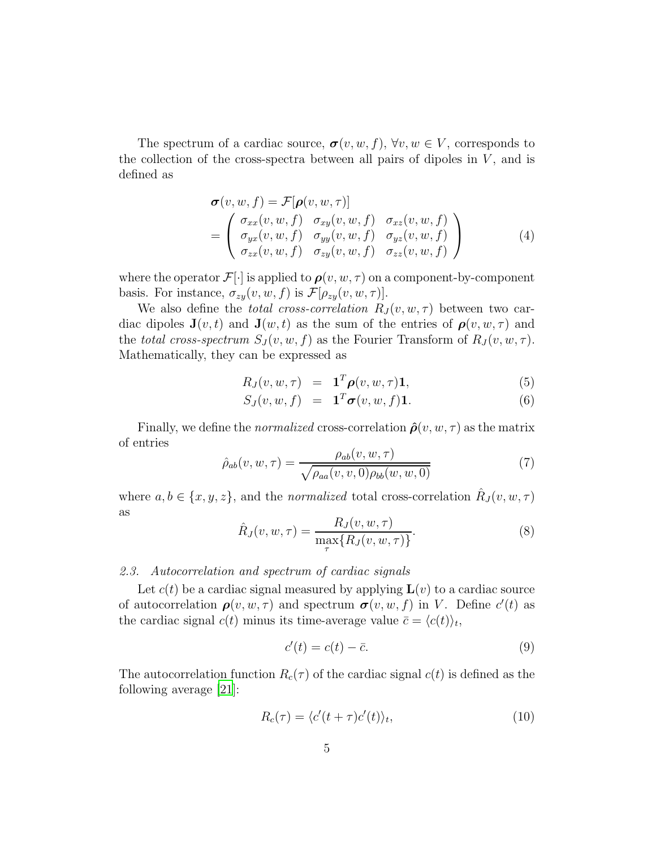The spectrum of a cardiac source,  $\sigma(v, w, f)$ ,  $\forall v, w \in V$ , corresponds to the collection of the cross-spectra between all pairs of dipoles in  $V$ , and is defined as

$$
\sigma(v, w, f) = \mathcal{F}[\rho(v, w, \tau)]
$$
  
= 
$$
\begin{pmatrix} \sigma_{xx}(v, w, f) & \sigma_{xy}(v, w, f) & \sigma_{xz}(v, w, f) \\ \sigma_{yx}(v, w, f) & \sigma_{yy}(v, w, f) & \sigma_{yz}(v, w, f) \\ \sigma_{zx}(v, w, f) & \sigma_{zy}(v, w, f) & \sigma_{zz}(v, w, f) \end{pmatrix}
$$
 (4)

where the operator  $\mathcal{F}[\cdot]$  is applied to  $\rho(v, w, \tau)$  on a component-by-component basis. For instance,  $\sigma_{zy}(v, w, f)$  is  $\mathcal{F}[\rho_{zy}(v, w, \tau)].$ 

We also define the *total cross-correlation*  $R_J(v, w, \tau)$  between two cardiac dipoles  $\mathbf{J}(v,t)$  and  $\mathbf{J}(w,t)$  as the sum of the entries of  $\rho(v,w,\tau)$  and the total cross-spectrum  $S_J(v, w, f)$  as the Fourier Transform of  $R_J(v, w, \tau)$ . Mathematically, they can be expressed as

<span id="page-4-0"></span>
$$
R_J(v, w, \tau) = \mathbf{1}^T \boldsymbol{\rho}(v, w, \tau) \mathbf{1}, \tag{5}
$$

$$
S_J(v, w, f) = \mathbf{1}^T \boldsymbol{\sigma}(v, w, f) \mathbf{1}.
$$
 (6)

Finally, we define the *normalized* cross-correlation  $\hat{\rho}(v, w, \tau)$  as the matrix of entries

<span id="page-4-1"></span>
$$
\hat{\rho}_{ab}(v, w, \tau) = \frac{\rho_{ab}(v, w, \tau)}{\sqrt{\rho_{aa}(v, v, 0)\rho_{bb}(w, w, 0)}}
$$
(7)

<span id="page-4-2"></span>where  $a, b \in \{x, y, z\}$ , and the *normalized* total cross-correlation  $\hat{R}_J(v, w, \tau)$ as

$$
\hat{R}_J(v, w, \tau) = \frac{R_J(v, w, \tau)}{\max_{\tau} \{ R_J(v, w, \tau) \}}.
$$
\n(8)

# 2.3. Autocorrelation and spectrum of cardiac signals

Let  $c(t)$  be a cardiac signal measured by applying  $\mathbf{L}(v)$  to a cardiac source of autocorrelation  $\rho(v, w, \tau)$  and spectrum  $\sigma(v, w, f)$  in V. Define  $c'(t)$  as the cardiac signal  $c(t)$  minus its time-average value  $\bar{c} = \langle c(t) \rangle_t$ ,

<span id="page-4-3"></span>
$$
c'(t) = c(t) - \bar{c}.\tag{9}
$$

The autocorrelation function  $R_c(\tau)$  of the cardiac signal  $c(t)$  is defined as the following average [\[21](#page-20-7)]:

<span id="page-4-4"></span>
$$
R_c(\tau) = \langle c'(t+\tau)c'(t) \rangle_t, \tag{10}
$$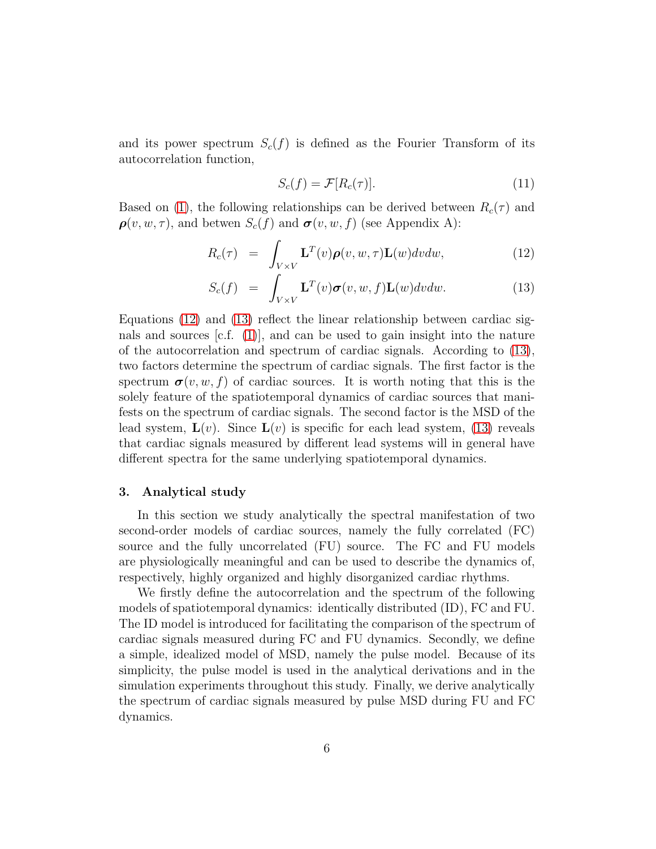and its power spectrum  $S_c(f)$  is defined as the Fourier Transform of its autocorrelation function,

<span id="page-5-2"></span>
$$
S_c(f) = \mathcal{F}[R_c(\tau)].\tag{11}
$$

Based on [\(1\)](#page-3-0), the following relationships can be derived between  $R_c(\tau)$  and  $\rho(v, w, \tau)$ , and betwen  $S_c(f)$  and  $\sigma(v, w, f)$  (see Appendix A):

<span id="page-5-1"></span>
$$
R_c(\tau) = \int_{V \times V} \mathbf{L}^T(v) \rho(v, w, \tau) \mathbf{L}(w) dv dw, \qquad (12)
$$

$$
S_c(f) = \int_{V \times V} \mathbf{L}^T(v) \boldsymbol{\sigma}(v, w, f) \mathbf{L}(w) dv dw.
$$
 (13)

Equations [\(12\)](#page-5-1) and [\(13\)](#page-5-1) reflect the linear relationship between cardiac signals and sources [c.f.  $(1)$ ], and can be used to gain insight into the nature of the autocorrelation and spectrum of cardiac signals. According to [\(13\)](#page-5-1), two factors determine the spectrum of cardiac signals. The first factor is the spectrum  $\sigma(v, w, f)$  of cardiac sources. It is worth noting that this is the solely feature of the spatiotemporal dynamics of cardiac sources that manifests on the spectrum of cardiac signals. The second factor is the MSD of the lead system,  $\mathbf{L}(v)$ . Since  $\mathbf{L}(v)$  is specific for each lead system, [\(13\)](#page-5-1) reveals that cardiac signals measured by different lead systems will in general have different spectra for the same underlying spatiotemporal dynamics.

#### <span id="page-5-0"></span>3. Analytical study

In this section we study analytically the spectral manifestation of two second-order models of cardiac sources, namely the fully correlated (FC) source and the fully uncorrelated (FU) source. The FC and FU models are physiologically meaningful and can be used to describe the dynamics of, respectively, highly organized and highly disorganized cardiac rhythms.

We firstly define the autocorrelation and the spectrum of the following models of spatiotemporal dynamics: identically distributed (ID), FC and FU. The ID model is introduced for facilitating the comparison of the spectrum of cardiac signals measured during FC and FU dynamics. Secondly, we define a simple, idealized model of MSD, namely the pulse model. Because of its simplicity, the pulse model is used in the analytical derivations and in the simulation experiments throughout this study. Finally, we derive analytically the spectrum of cardiac signals measured by pulse MSD during FU and FC dynamics.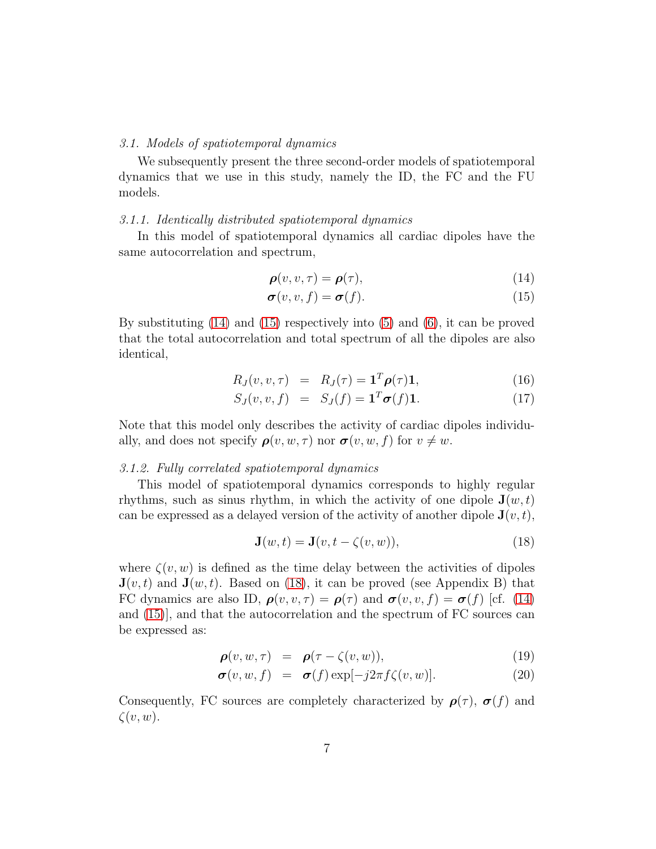#### 3.1. Models of spatiotemporal dynamics

We subsequently present the three second-order models of spatiotemporal dynamics that we use in this study, namely the ID, the FC and the FU models.

#### 3.1.1. Identically distributed spatiotemporal dynamics

In this model of spatiotemporal dynamics all cardiac dipoles have the same autocorrelation and spectrum,

<span id="page-6-0"></span>
$$
\boldsymbol{\rho}(v,v,\tau) = \boldsymbol{\rho}(\tau),\tag{14}
$$

$$
\boldsymbol{\sigma}(v, v, f) = \boldsymbol{\sigma}(f). \tag{15}
$$

By substituting [\(14\)](#page-6-0) and [\(15\)](#page-6-0) respectively into [\(5\)](#page-4-0) and [\(6\)](#page-4-0), it can be proved that the total autocorrelation and total spectrum of all the dipoles are also identical,

<span id="page-6-3"></span>
$$
R_J(v, v, \tau) = R_J(\tau) = \mathbf{1}^T \boldsymbol{\rho}(\tau) \mathbf{1}, \tag{16}
$$

$$
S_J(v, v, f) = S_J(f) = \mathbf{1}^T \boldsymbol{\sigma}(f) \mathbf{1}.
$$
 (17)

Note that this model only describes the activity of cardiac dipoles individually, and does not specify  $\rho(v, w, \tau)$  nor  $\sigma(v, w, f)$  for  $v \neq w$ .

# 3.1.2. Fully correlated spatiotemporal dynamics

This model of spatiotemporal dynamics corresponds to highly regular rhythms, such as sinus rhythm, in which the activity of one dipole  $\mathbf{J}(w, t)$ can be expressed as a delayed version of the activity of another dipole  $\mathbf{J}(v, t)$ ,

<span id="page-6-1"></span>
$$
\mathbf{J}(w,t) = \mathbf{J}(v, t - \zeta(v, w)),\tag{18}
$$

where  $\zeta(v, w)$  is defined as the time delay between the activities of dipoles  $J(v, t)$  and  $J(w, t)$ . Based on [\(18\)](#page-6-1), it can be proved (see Appendix B) that FC dynamics are also ID,  $\rho(v, v, \tau) = \rho(\tau)$  and  $\sigma(v, v, f) = \sigma(f)$  [cf. [\(14\)](#page-6-0) and [\(15\)](#page-6-0)], and that the autocorrelation and the spectrum of FC sources can be expressed as:

<span id="page-6-2"></span>
$$
\boldsymbol{\rho}(v, w, \tau) = \boldsymbol{\rho}(\tau - \zeta(v, w)), \qquad (19)
$$

$$
\boldsymbol{\sigma}(v, w, f) = \boldsymbol{\sigma}(f) \exp[-j2\pi f \zeta(v, w)]. \qquad (20)
$$

Consequently, FC sources are completely characterized by  $\rho(\tau)$ ,  $\sigma(f)$  and  $\zeta(v,w).$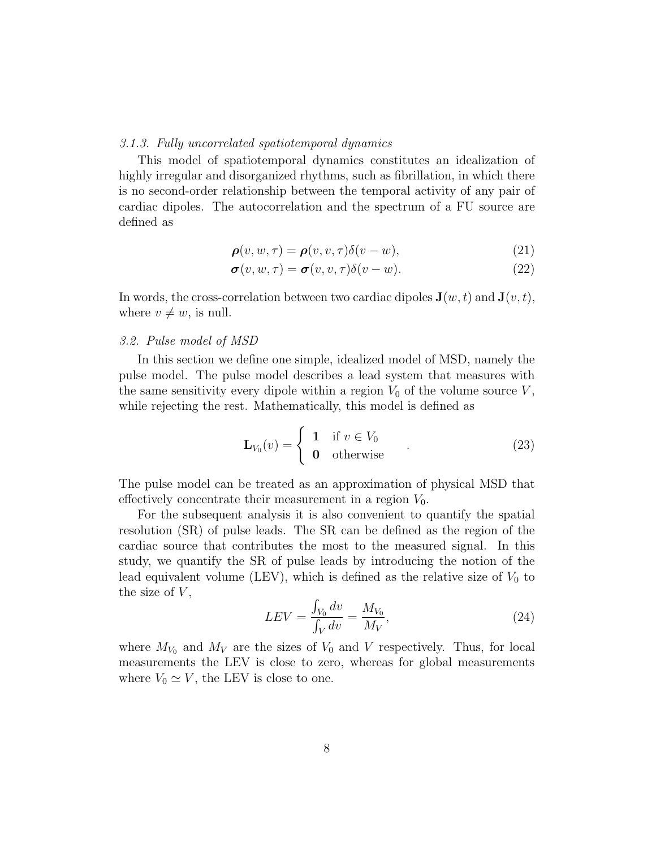#### 3.1.3. Fully uncorrelated spatiotemporal dynamics

This model of spatiotemporal dynamics constitutes an idealization of highly irregular and disorganized rhythms, such as fibrillation, in which there is no second-order relationship between the temporal activity of any pair of cardiac dipoles. The autocorrelation and the spectrum of a FU source are defined as

<span id="page-7-2"></span>
$$
\boldsymbol{\rho}(v, w, \tau) = \boldsymbol{\rho}(v, v, \tau) \delta(v - w), \tag{21}
$$

$$
\boldsymbol{\sigma}(v, w, \tau) = \boldsymbol{\sigma}(v, v, \tau) \delta(v - w). \tag{22}
$$

In words, the cross-correlation between two cardiac dipoles  $\mathbf{J}(w, t)$  and  $\mathbf{J}(v, t)$ , where  $v \neq w$ , is null.

#### 3.2. Pulse model of MSD

In this section we define one simple, idealized model of MSD, namely the pulse model. The pulse model describes a lead system that measures with the same sensitivity every dipole within a region  $V_0$  of the volume source  $V$ , while rejecting the rest. Mathematically, this model is defined as

<span id="page-7-0"></span>
$$
\mathbf{L}_{V_0}(v) = \begin{cases} 1 & \text{if } v \in V_0 \\ \mathbf{0} & \text{otherwise} \end{cases} \tag{23}
$$

The pulse model can be treated as an approximation of physical MSD that effectively concentrate their measurement in a region  $V_0$ .

For the subsequent analysis it is also convenient to quantify the spatial resolution (SR) of pulse leads. The SR can be defined as the region of the cardiac source that contributes the most to the measured signal. In this study, we quantify the SR of pulse leads by introducing the notion of the lead equivalent volume (LEV), which is defined as the relative size of  $V_0$  to the size of  $V$ ,

<span id="page-7-1"></span>
$$
LEV = \frac{\int_{V_0} dv}{\int_V dv} = \frac{M_{V_0}}{M_V},
$$
\n(24)

where  $M_{V_0}$  and  $M_V$  are the sizes of  $V_0$  and V respectively. Thus, for local measurements the LEV is close to zero, whereas for global measurements where  $V_0 \simeq V$ , the LEV is close to one.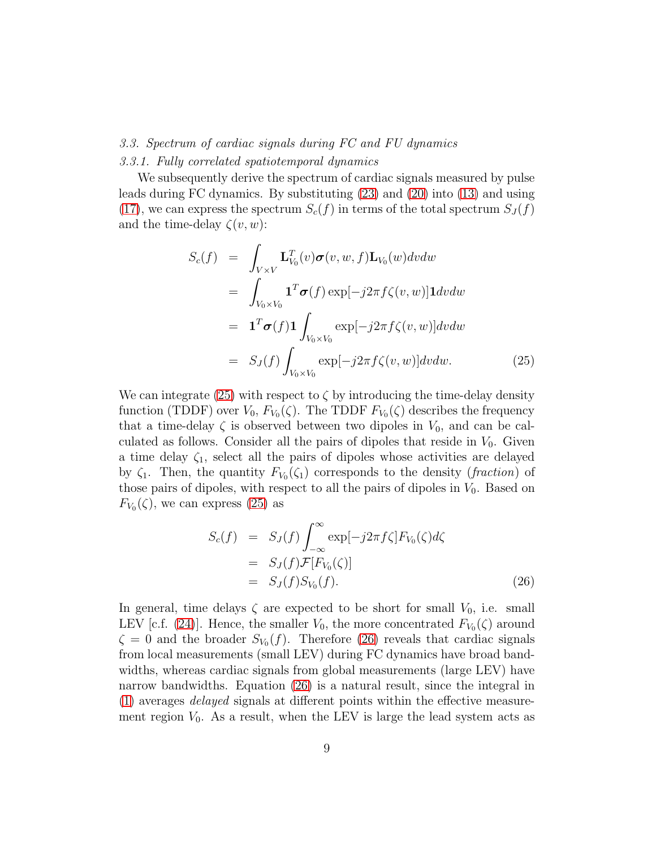# 3.3. Spectrum of cardiac signals during FC and FU dynamics 3.3.1. Fully correlated spatiotemporal dynamics

We subsequently derive the spectrum of cardiac signals measured by pulse leads during FC dynamics. By substituting [\(23\)](#page-7-0) and [\(20\)](#page-6-2) into [\(13\)](#page-5-1) and using [\(17\)](#page-6-3), we can express the spectrum  $S_c(f)$  in terms of the total spectrum  $S<sub>J</sub>(f)$ and the time-delay  $\zeta(v, w)$ :

<span id="page-8-0"></span>
$$
S_c(f) = \int_{V \times V} \mathbf{L}_{V_0}^T(v) \sigma(v, w, f) \mathbf{L}_{V_0}(w) dv dw
$$
  
\n
$$
= \int_{V_0 \times V_0} \mathbf{1}^T \sigma(f) \exp[-j2\pi f \zeta(v, w)] \mathbf{1} dv dw
$$
  
\n
$$
= \mathbf{1}^T \sigma(f) \mathbf{1} \int_{V_0 \times V_0} \exp[-j2\pi f \zeta(v, w)] dv dw
$$
  
\n
$$
= S_J(f) \int_{V_0 \times V_0} \exp[-j2\pi f \zeta(v, w)] dv dw.
$$
 (25)

We can integrate [\(25\)](#page-8-0) with respect to  $\zeta$  by introducing the time-delay density function (TDDF) over  $V_0$ ,  $F_{V_0}(\zeta)$ . The TDDF  $F_{V_0}(\zeta)$  describes the frequency that a time-delay  $\zeta$  is observed between two dipoles in  $V_0$ , and can be calculated as follows. Consider all the pairs of dipoles that reside in  $V_0$ . Given a time delay  $\zeta_1$ , select all the pairs of dipoles whose activities are delayed by  $\zeta_1$ . Then, the quantity  $F_{V_0}(\zeta_1)$  corresponds to the density (fraction) of those pairs of dipoles, with respect to all the pairs of dipoles in  $V_0$ . Based on  $F_{V_0}(\zeta)$ , we can express [\(25\)](#page-8-0) as

<span id="page-8-1"></span>
$$
S_c(f) = S_J(f) \int_{-\infty}^{\infty} \exp[-j2\pi f\zeta] F_{V_0}(\zeta) d\zeta
$$
  
= 
$$
S_J(f) \mathcal{F}[F_{V_0}(\zeta)]
$$
  
= 
$$
S_J(f) S_{V_0}(f).
$$
 (26)

In general, time delays  $\zeta$  are expected to be short for small  $V_0$ , i.e. small LEV [c.f. [\(24\)](#page-7-1)]. Hence, the smaller  $V_0$ , the more concentrated  $F_{V_0}(\zeta)$  around  $\zeta = 0$  and the broader  $S_{V_0}(f)$ . Therefore [\(26\)](#page-8-1) reveals that cardiac signals from local measurements (small LEV) during FC dynamics have broad bandwidths, whereas cardiac signals from global measurements (large LEV) have narrow bandwidths. Equation [\(26\)](#page-8-1) is a natural result, since the integral in [\(1\)](#page-3-0) averages delayed signals at different points within the effective measurement region  $V_0$ . As a result, when the LEV is large the lead system acts as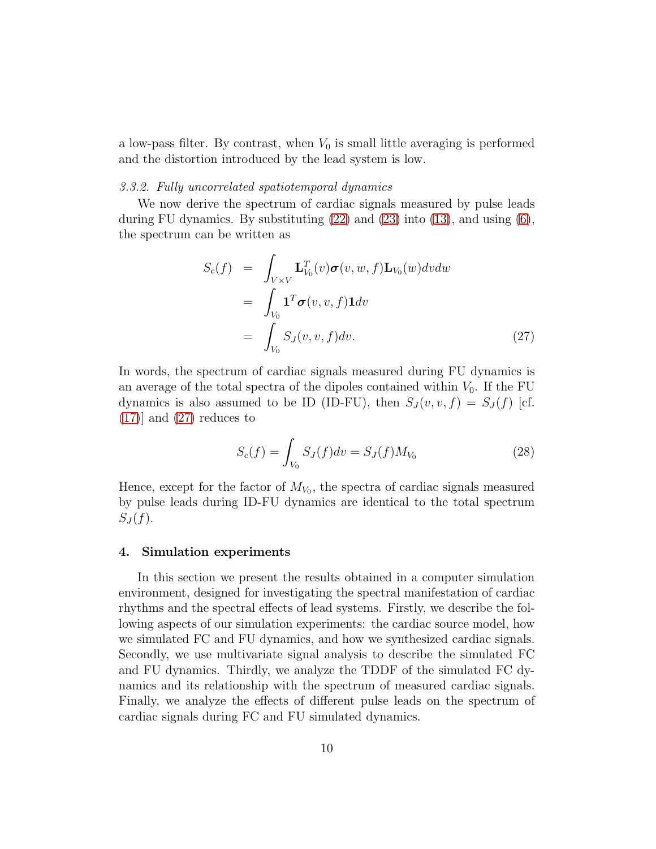a low-pass filter. By contrast, when  $V_0$  is small little averaging is performed and the distortion introduced by the lead system is low.

## 3.3.2. Fully uncorrelated spatiotemporal dynamics

We now derive the spectrum of cardiac signals measured by pulse leads during FU dynamics. By substituting [\(22\)](#page-7-2) and [\(23\)](#page-7-0) into [\(13\)](#page-5-1), and using [\(6\)](#page-4-0), the spectrum can be written as

<span id="page-9-1"></span>
$$
S_c(f) = \int_{V \times V} \mathbf{L}_{V_0}^T(v) \sigma(v, w, f) \mathbf{L}_{V_0}(w) dv dw
$$
  
\n
$$
= \int_{V_0} \mathbf{1}^T \sigma(v, v, f) \mathbf{1} dv
$$
  
\n
$$
= \int_{V_0} S_J(v, v, f) dv.
$$
 (27)

In words, the spectrum of cardiac signals measured during FU dynamics is an average of the total spectra of the dipoles contained within  $V_0$ . If the FU dynamics is also assumed to be ID (ID-FU), then  $S_J(v, v, f) = S_J(f)$  [cf.  $(17)$  and  $(27)$  reduces to

<span id="page-9-2"></span>
$$
S_c(f) = \int_{V_0} S_J(f) dv = S_J(f) M_{V_0}
$$
 (28)

Hence, except for the factor of  $M_{V_0}$ , the spectra of cardiac signals measured by pulse leads during ID-FU dynamics are identical to the total spectrum  $S_J(f).$ 

#### <span id="page-9-0"></span>4. Simulation experiments

In this section we present the results obtained in a computer simulation environment, designed for investigating the spectral manifestation of cardiac rhythms and the spectral effects of lead systems. Firstly, we describe the following aspects of our simulation experiments: the cardiac source model, how we simulated FC and FU dynamics, and how we synthesized cardiac signals. Secondly, we use multivariate signal analysis to describe the simulated FC and FU dynamics. Thirdly, we analyze the TDDF of the simulated FC dynamics and its relationship with the spectrum of measured cardiac signals. Finally, we analyze the effects of different pulse leads on the spectrum of cardiac signals during FC and FU simulated dynamics.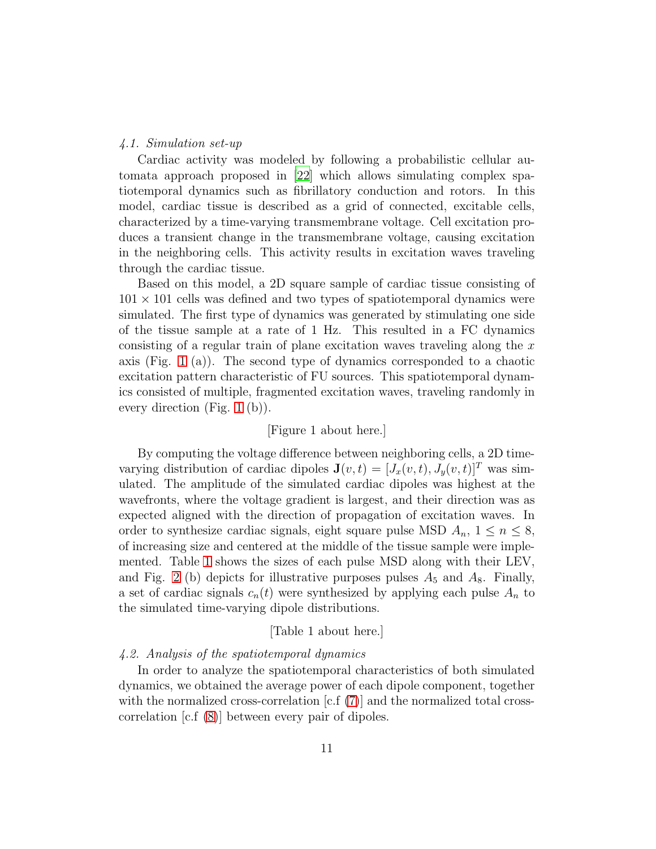## 4.1. Simulation set-up

Cardiac activity was modeled by following a probabilistic cellular automata approach proposed in [\[22\]](#page-20-8) which allows simulating complex spatiotemporal dynamics such as fibrillatory conduction and rotors. In this model, cardiac tissue is described as a grid of connected, excitable cells, characterized by a time-varying transmembrane voltage. Cell excitation produces a transient change in the transmembrane voltage, causing excitation in the neighboring cells. This activity results in excitation waves traveling through the cardiac tissue.

Based on this model, a 2D square sample of cardiac tissue consisting of  $101 \times 101$  cells was defined and two types of spatiotemporal dynamics were simulated. The first type of dynamics was generated by stimulating one side of the tissue sample at a rate of 1 Hz. This resulted in a FC dynamics consisting of a regular train of plane excitation waves traveling along the x axis (Fig. [1](#page-23-0) (a)). The second type of dynamics corresponded to a chaotic excitation pattern characteristic of FU sources. This spatiotemporal dynamics consisted of multiple, fragmented excitation waves, traveling randomly in every direction (Fig. [1](#page-23-0) (b)).

# [Figure 1 about here.]

By computing the voltage difference between neighboring cells, a 2D timevarying distribution of cardiac dipoles  $\mathbf{J}(v, t) = [J_x(v, t), J_y(v, t)]^T$  was simulated. The amplitude of the simulated cardiac dipoles was highest at the wavefronts, where the voltage gradient is largest, and their direction was as expected aligned with the direction of propagation of excitation waves. In order to synthesize cardiac signals, eight square pulse MSD  $A_n$ ,  $1 \leq n \leq 8$ , of increasing size and centered at the middle of the tissue sample were implemented. Table [1](#page-27-0) shows the sizes of each pulse MSD along with their LEV, and Fig. [2](#page-24-0) (b) depicts for illustrative purposes pulses  $A_5$  and  $A_8$ . Finally, a set of cardiac signals  $c_n(t)$  were synthesized by applying each pulse  $A_n$  to the simulated time-varying dipole distributions.

# [Table 1 about here.]

# 4.2. Analysis of the spatiotemporal dynamics

In order to analyze the spatiotemporal characteristics of both simulated dynamics, we obtained the average power of each dipole component, together with the normalized cross-correlation [c.f [\(7\)](#page-4-1)] and the normalized total crosscorrelation [c.f [\(8\)](#page-4-2)] between every pair of dipoles.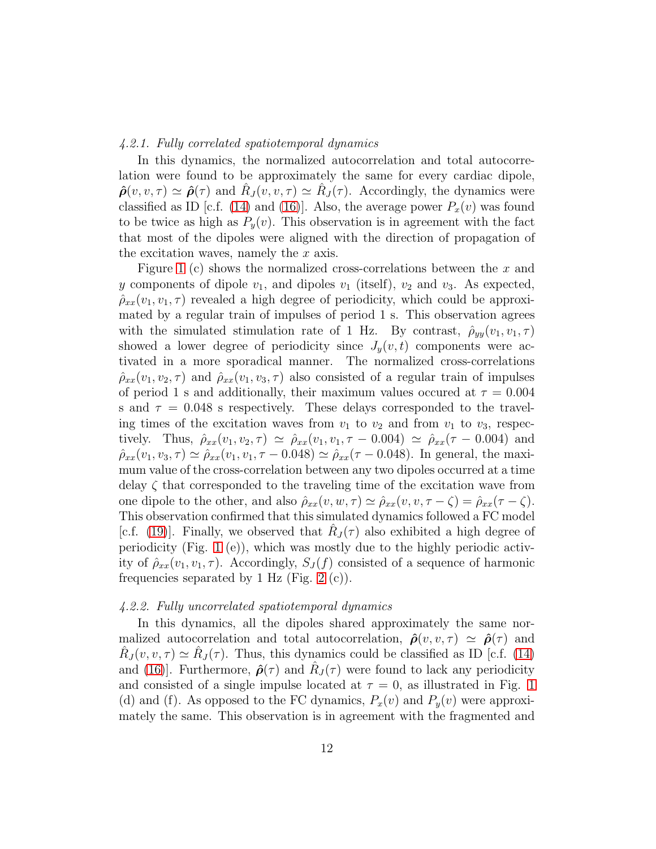## 4.2.1. Fully correlated spatiotemporal dynamics

In this dynamics, the normalized autocorrelation and total autocorrelation were found to be approximately the same for every cardiac dipole,  $\hat{\rho}(v, v, \tau) \simeq \hat{\rho}(\tau)$  and  $\hat{R}_J(v, v, \tau) \simeq \hat{R}_J(\tau)$ . Accordingly, the dynamics were classified as ID [c.f. [\(14\)](#page-6-0) and [\(16\)](#page-6-3)]. Also, the average power  $P_x(v)$  was found to be twice as high as  $P_y(v)$ . This observation is in agreement with the fact that most of the dipoles were aligned with the direction of propagation of the excitation waves, namely the  $x$  axis.

Figure [1](#page-23-0) (c) shows the normalized cross-correlations between the  $x$  and y components of dipole  $v_1$ , and dipoles  $v_1$  (itself),  $v_2$  and  $v_3$ . As expected,  $\hat{\rho}_{xx}(v_1, v_1, \tau)$  revealed a high degree of periodicity, which could be approximated by a regular train of impulses of period 1 s. This observation agrees with the simulated stimulation rate of 1 Hz. By contrast,  $\hat{\rho}_{yy}(v_1, v_1, \tau)$ showed a lower degree of periodicity since  $J_y(v, t)$  components were activated in a more sporadical manner. The normalized cross-correlations  $\hat{\rho}_{xx}(v_1, v_2, \tau)$  and  $\hat{\rho}_{xx}(v_1, v_3, \tau)$  also consisted of a regular train of impulses of period 1 s and additionally, their maximum values occured at  $\tau = 0.004$ s and  $\tau = 0.048$  s respectively. These delays corresponded to the traveling times of the excitation waves from  $v_1$  to  $v_2$  and from  $v_1$  to  $v_3$ , respectively. Thus,  $\hat{\rho}_{xx}(v_1, v_2, \tau) \simeq \hat{\rho}_{xx}(v_1, v_1, \tau - 0.004) \simeq \hat{\rho}_{xx}(\tau - 0.004)$  and  $\hat{\rho}_{xx}(v_1, v_3, \tau) \simeq \hat{\rho}_{xx}(v_1, v_1, \tau - 0.048) \simeq \hat{\rho}_{xx}(\tau - 0.048)$ . In general, the maximum value of the cross-correlation between any two dipoles occurred at a time delay  $\zeta$  that corresponded to the traveling time of the excitation wave from one dipole to the other, and also  $\hat{\rho}_{xx}(v, w, \tau) \simeq \hat{\rho}_{xx}(v, v, \tau - \zeta) = \hat{\rho}_{xx}(\tau - \zeta)$ . This observation confirmed that this simulated dynamics followed a FC model [c.f. [\(19\)](#page-6-2)]. Finally, we observed that  $\hat{R}_J(\tau)$  also exhibited a high degree of periodicity (Fig. [1](#page-23-0) (e)), which was mostly due to the highly periodic activity of  $\hat{\rho}_{xx}(v_1, v_1, \tau)$ . Accordingly,  $S_J(f)$  consisted of a sequence of harmonic frequencies separated by 1 Hz (Fig.  $2(c)$ ).

#### 4.2.2. Fully uncorrelated spatiotemporal dynamics

In this dynamics, all the dipoles shared approximately the same normalized autocorrelation and total autocorrelation,  $\hat{\rho}(v, v, \tau) \simeq \hat{\rho}(\tau)$  and  $\hat{R}_J(v, v, \tau) \simeq \hat{R}_J(\tau)$ . Thus, this dynamics could be classified as ID [c.f. [\(14\)](#page-6-0) and [\(16\)](#page-6-3). Furthermore,  $\hat{\rho}(\tau)$  and  $\hat{R}_J(\tau)$  were found to lack any periodicity and consisted of a single impulse located at  $\tau = 0$ , as illustrated in Fig. [1](#page-23-0) (d) and (f). As opposed to the FC dynamics,  $P_x(v)$  and  $P_y(v)$  were approximately the same. This observation is in agreement with the fragmented and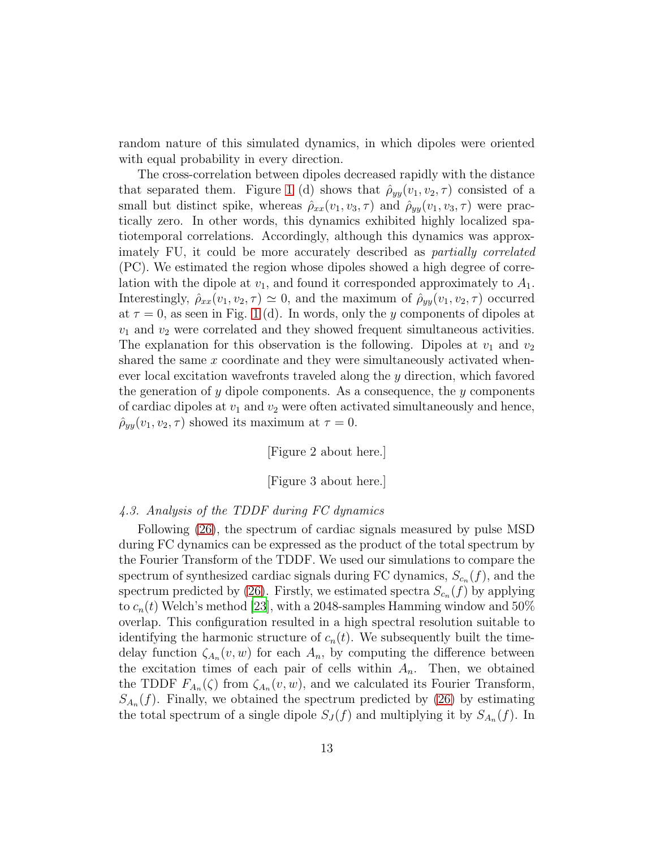random nature of this simulated dynamics, in which dipoles were oriented with equal probability in every direction.

The cross-correlation between dipoles decreased rapidly with the distance that separated them. Figure [1](#page-23-0) (d) shows that  $\hat{\rho}_{yy}(v_1, v_2, \tau)$  consisted of a small but distinct spike, whereas  $\hat{\rho}_{xx}(v_1, v_3, \tau)$  and  $\hat{\rho}_{yy}(v_1, v_3, \tau)$  were practically zero. In other words, this dynamics exhibited highly localized spatiotemporal correlations. Accordingly, although this dynamics was approximately FU, it could be more accurately described as partially correlated (PC). We estimated the region whose dipoles showed a high degree of correlation with the dipole at  $v_1$ , and found it corresponded approximately to  $A_1$ . Interestingly,  $\hat{\rho}_{xx}(v_1, v_2, \tau) \simeq 0$ , and the maximum of  $\hat{\rho}_{yy}(v_1, v_2, \tau)$  occurred at  $\tau = 0$ , as seen in Fig. [1](#page-23-0) (d). In words, only the y components of dipoles at  $v_1$  and  $v_2$  were correlated and they showed frequent simultaneous activities. The explanation for this observation is the following. Dipoles at  $v_1$  and  $v_2$ shared the same x coordinate and they were simultaneously activated whenever local excitation wavefronts traveled along the y direction, which favored the generation of  $y$  dipole components. As a consequence, the  $y$  components of cardiac dipoles at  $v_1$  and  $v_2$  were often activated simultaneously and hence,  $\hat{\rho}_{yy}(v_1, v_2, \tau)$  showed its maximum at  $\tau = 0$ .

[Figure 2 about here.]

[Figure 3 about here.]

# 4.3. Analysis of the TDDF during FC dynamics

Following [\(26\)](#page-8-1), the spectrum of cardiac signals measured by pulse MSD during FC dynamics can be expressed as the product of the total spectrum by the Fourier Transform of the TDDF. We used our simulations to compare the spectrum of synthesized cardiac signals during FC dynamics,  $S_{c_n}(f)$ , and the spectrum predicted by [\(26\)](#page-8-1). Firstly, we estimated spectra  $S_{c_n}(f)$  by applying to  $c_n(t)$  Welch's method [\[23\]](#page-21-0), with a 2048-samples Hamming window and 50% overlap. This configuration resulted in a high spectral resolution suitable to identifying the harmonic structure of  $c_n(t)$ . We subsequently built the timedelay function  $\zeta_{A_n}(v, w)$  for each  $A_n$ , by computing the difference between the excitation times of each pair of cells within  $A_n$ . Then, we obtained the TDDF  $F_{A_n}(\zeta)$  from  $\zeta_{A_n}(v, w)$ , and we calculated its Fourier Transform,  $S_{A_n}(f)$ . Finally, we obtained the spectrum predicted by [\(26\)](#page-8-1) by estimating the total spectrum of a single dipole  $S_J(f)$  and multiplying it by  $S_{A_n}(f)$ . In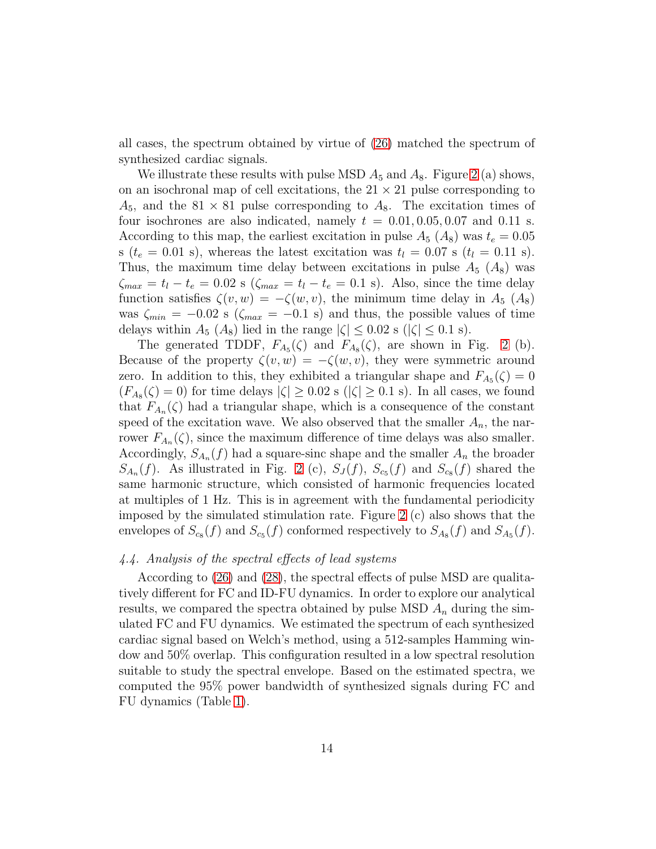all cases, the spectrum obtained by virtue of [\(26\)](#page-8-1) matched the spectrum of synthesized cardiac signals.

We illustrate these results with pulse MSD  $A_5$  and  $A_8$ . Figure [2](#page-24-0) (a) shows, on an isochronal map of cell excitations, the  $21 \times 21$  pulse corresponding to  $A_5$ , and the 81 × 81 pulse corresponding to  $A_8$ . The excitation times of four isochrones are also indicated, namely  $t = 0.01, 0.05, 0.07$  and 0.11 s. According to this map, the earliest excitation in pulse  $A_5$  ( $A_8$ ) was  $t_e = 0.05$ s ( $t_e = 0.01$  s), whereas the latest excitation was  $t_l = 0.07$  s ( $t_l = 0.11$  s). Thus, the maximum time delay between excitations in pulse  $A_5$  ( $A_8$ ) was  $\zeta_{max} = t_l - t_e = 0.02$  s  $(\zeta_{max} = t_l - t_e = 0.1$  s). Also, since the time delay function satisfies  $\zeta(v, w) = -\zeta(w, v)$ , the minimum time delay in  $A_5$  ( $A_8$ ) was  $\zeta_{min} = -0.02$  s  $(\zeta_{max} = -0.1 \text{ s})$  and thus, the possible values of time delays within  $A_5$  ( $A_8$ ) lied in the range  $|\zeta| \leq 0.02$  s ( $|\zeta| \leq 0.1$  s).

The generated TDDF,  $F_{A_5}(\zeta)$  and  $F_{A_8}(\zeta)$ , are shown in Fig. [2](#page-24-0) (b). Because of the property  $\zeta(v, w) = -\zeta(w, v)$ , they were symmetric around zero. In addition to this, they exhibited a triangular shape and  $F_{A_5}(\zeta) = 0$  $(F_{A_8}(\zeta) = 0)$  for time delays  $|\zeta| \ge 0.02$  s  $(|\zeta| \ge 0.1$  s). In all cases, we found that  $F_{A_n}(\zeta)$  had a triangular shape, which is a consequence of the constant speed of the excitation wave. We also observed that the smaller  $A_n$ , the narrower  $F_{A_n}(\zeta)$ , since the maximum difference of time delays was also smaller. Accordingly,  $S_{A_n}(f)$  had a square-sinc shape and the smaller  $A_n$  the broader  $S_{A_n}(f)$ . As illustrated in Fig. [2](#page-24-0) (c),  $S_J(f)$ ,  $S_{c_5}(f)$  and  $S_{c_8}(f)$  shared the same harmonic structure, which consisted of harmonic frequencies located at multiples of 1 Hz. This is in agreement with the fundamental periodicity imposed by the simulated stimulation rate. Figure [2](#page-24-0) (c) also shows that the envelopes of  $S_{c_8}(f)$  and  $S_{c_5}(f)$  conformed respectively to  $S_{A_8}(f)$  and  $S_{A_5}(f)$ .

# 4.4. Analysis of the spectral effects of lead systems

According to [\(26\)](#page-8-1) and [\(28\)](#page-9-2), the spectral effects of pulse MSD are qualitatively different for FC and ID-FU dynamics. In order to explore our analytical results, we compared the spectra obtained by pulse MSD  $A_n$  during the simulated FC and FU dynamics. We estimated the spectrum of each synthesized cardiac signal based on Welch's method, using a 512-samples Hamming window and 50% overlap. This configuration resulted in a low spectral resolution suitable to study the spectral envelope. Based on the estimated spectra, we computed the 95% power bandwidth of synthesized signals during FC and FU dynamics (Table [1\)](#page-27-0).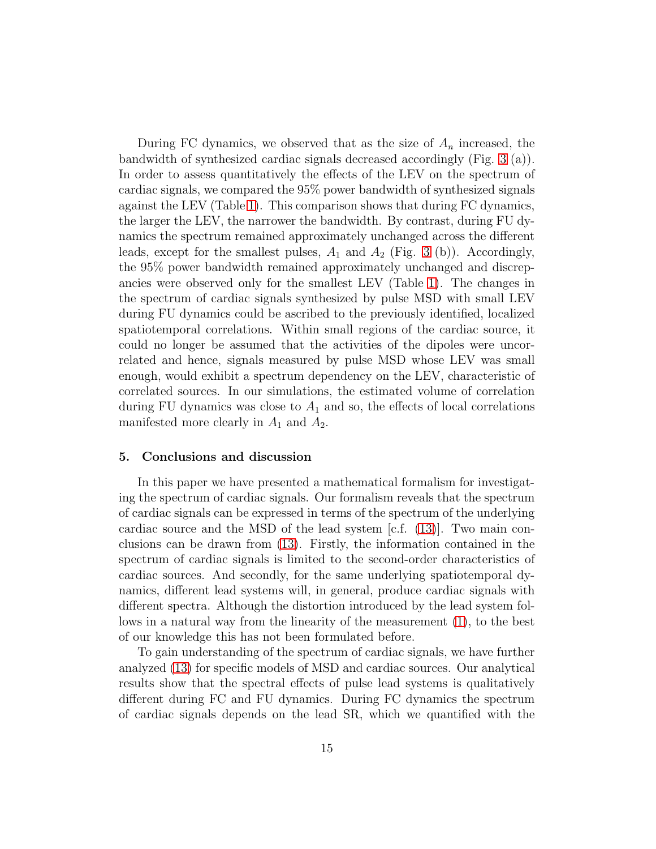During FC dynamics, we observed that as the size of  $A_n$  increased, the bandwidth of synthesized cardiac signals decreased accordingly (Fig. [3](#page-25-0) (a)). In order to assess quantitatively the effects of the LEV on the spectrum of cardiac signals, we compared the 95% power bandwidth of synthesized signals against the LEV (Table [1\)](#page-27-0). This comparison shows that during FC dynamics, the larger the LEV, the narrower the bandwidth. By contrast, during FU dynamics the spectrum remained approximately unchanged across the different leads, except for the smallest pulses,  $A_1$  and  $A_2$  (Fig. [3](#page-25-0) (b)). Accordingly, the 95% power bandwidth remained approximately unchanged and discrepancies were observed only for the smallest LEV (Table [1\)](#page-27-0). The changes in the spectrum of cardiac signals synthesized by pulse MSD with small LEV during FU dynamics could be ascribed to the previously identified, localized spatiotemporal correlations. Within small regions of the cardiac source, it could no longer be assumed that the activities of the dipoles were uncorrelated and hence, signals measured by pulse MSD whose LEV was small enough, would exhibit a spectrum dependency on the LEV, characteristic of correlated sources. In our simulations, the estimated volume of correlation during FU dynamics was close to  $A_1$  and so, the effects of local correlations manifested more clearly in  $A_1$  and  $A_2$ .

#### <span id="page-14-0"></span>5. Conclusions and discussion

In this paper we have presented a mathematical formalism for investigating the spectrum of cardiac signals. Our formalism reveals that the spectrum of cardiac signals can be expressed in terms of the spectrum of the underlying cardiac source and the MSD of the lead system  $[c.f. (13)]$  $[c.f. (13)]$  $[c.f. (13)]$ . Two main conclusions can be drawn from [\(13\)](#page-5-1). Firstly, the information contained in the spectrum of cardiac signals is limited to the second-order characteristics of cardiac sources. And secondly, for the same underlying spatiotemporal dynamics, different lead systems will, in general, produce cardiac signals with different spectra. Although the distortion introduced by the lead system follows in a natural way from the linearity of the measurement [\(1\)](#page-3-0), to the best of our knowledge this has not been formulated before.

To gain understanding of the spectrum of cardiac signals, we have further analyzed [\(13\)](#page-5-1) for specific models of MSD and cardiac sources. Our analytical results show that the spectral effects of pulse lead systems is qualitatively different during FC and FU dynamics. During FC dynamics the spectrum of cardiac signals depends on the lead SR, which we quantified with the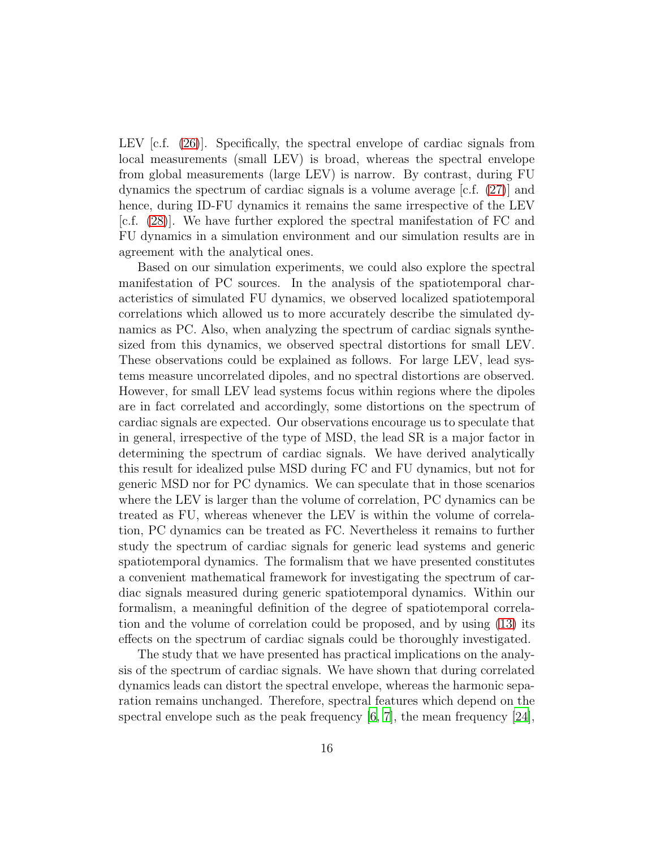LEV [c.f. [\(26\)](#page-8-1)]. Specifically, the spectral envelope of cardiac signals from local measurements (small LEV) is broad, whereas the spectral envelope from global measurements (large LEV) is narrow. By contrast, during FU dynamics the spectrum of cardiac signals is a volume average  $[c.f. (27)]$  $[c.f. (27)]$  $[c.f. (27)]$  and hence, during ID-FU dynamics it remains the same irrespective of the LEV [c.f. [\(28\)](#page-9-2)]. We have further explored the spectral manifestation of FC and FU dynamics in a simulation environment and our simulation results are in agreement with the analytical ones.

Based on our simulation experiments, we could also explore the spectral manifestation of PC sources. In the analysis of the spatiotemporal characteristics of simulated FU dynamics, we observed localized spatiotemporal correlations which allowed us to more accurately describe the simulated dynamics as PC. Also, when analyzing the spectrum of cardiac signals synthesized from this dynamics, we observed spectral distortions for small LEV. These observations could be explained as follows. For large LEV, lead systems measure uncorrelated dipoles, and no spectral distortions are observed. However, for small LEV lead systems focus within regions where the dipoles are in fact correlated and accordingly, some distortions on the spectrum of cardiac signals are expected. Our observations encourage us to speculate that in general, irrespective of the type of MSD, the lead SR is a major factor in determining the spectrum of cardiac signals. We have derived analytically this result for idealized pulse MSD during FC and FU dynamics, but not for generic MSD nor for PC dynamics. We can speculate that in those scenarios where the LEV is larger than the volume of correlation, PC dynamics can be treated as FU, whereas whenever the LEV is within the volume of correlation, PC dynamics can be treated as FC. Nevertheless it remains to further study the spectrum of cardiac signals for generic lead systems and generic spatiotemporal dynamics. The formalism that we have presented constitutes a convenient mathematical framework for investigating the spectrum of cardiac signals measured during generic spatiotemporal dynamics. Within our formalism, a meaningful definition of the degree of spatiotemporal correlation and the volume of correlation could be proposed, and by using [\(13\)](#page-5-1) its effects on the spectrum of cardiac signals could be thoroughly investigated.

The study that we have presented has practical implications on the analysis of the spectrum of cardiac signals. We have shown that during correlated dynamics leads can distort the spectral envelope, whereas the harmonic separation remains unchanged. Therefore, spectral features which depend on the spectral envelope such as the peak frequency  $[6, 7]$  $[6, 7]$  $[6, 7]$ , the mean frequency  $[24]$ ,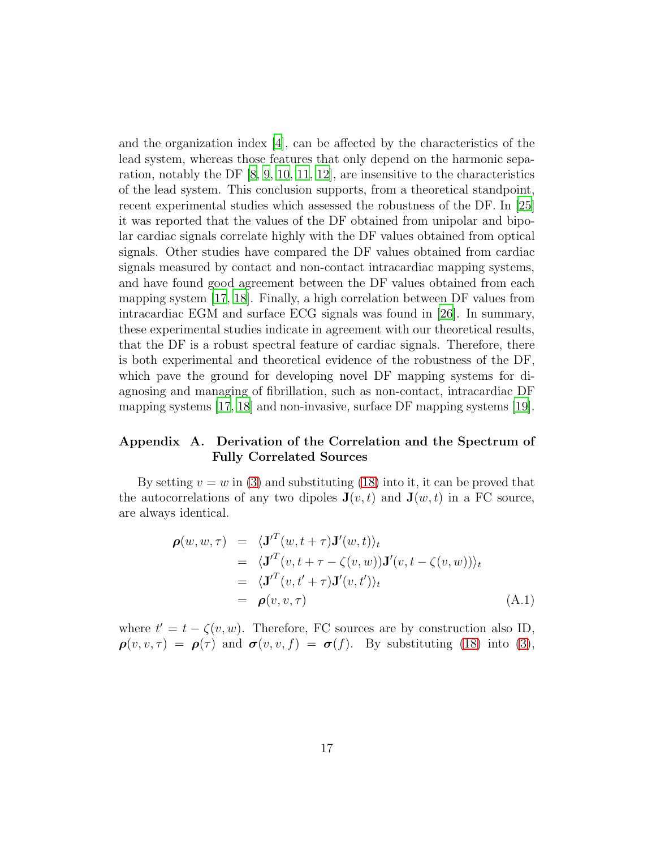and the organization index [\[4\]](#page-18-3), can be affected by the characteristics of the lead system, whereas those features that only depend on the harmonic separation, notably the DF  $(8, 9, 10, 11, 12)$  $(8, 9, 10, 11, 12)$  $(8, 9, 10, 11, 12)$  $(8, 9, 10, 11, 12)$  $(8, 9, 10, 11, 12)$  $(8, 9, 10, 11, 12)$ , are insensitive to the characteristics of the lead system. This conclusion supports, from a theoretical standpoint, recent experimental studies which assessed the robustness of the DF. In [\[25](#page-21-2)] it was reported that the values of the DF obtained from unipolar and bipolar cardiac signals correlate highly with the DF values obtained from optical signals. Other studies have compared the DF values obtained from cardiac signals measured by contact and non-contact intracardiac mapping systems, and have found good agreement between the DF values obtained from each mapping system [\[17,](#page-20-3) [18](#page-20-4)]. Finally, a high correlation between DF values from intracardiac EGM and surface ECG signals was found in [\[26\]](#page-21-3). In summary, these experimental studies indicate in agreement with our theoretical results, that the DF is a robust spectral feature of cardiac signals. Therefore, there is both experimental and theoretical evidence of the robustness of the DF, which pave the ground for developing novel DF mapping systems for diagnosing and managing of fibrillation, such as non-contact, intracardiac DF mapping systems [\[17,](#page-20-3) [18](#page-20-4)] and non-invasive, surface DF mapping systems [\[19\]](#page-20-5).

# Appendix A. Derivation of the Correlation and the Spectrum of Fully Correlated Sources

By setting  $v = w$  in [\(3\)](#page-3-1) and substituting [\(18\)](#page-6-1) into it, it can be proved that the autocorrelations of any two dipoles  $\mathbf{J}(v, t)$  and  $\mathbf{J}(w, t)$  in a FC source, are always identical.

$$
\rho(w, w, \tau) = \langle \mathbf{J}'^T(w, t + \tau) \mathbf{J}'(w, t) \rangle_t \n= \langle \mathbf{J}'^T(v, t + \tau - \zeta(v, w)) \mathbf{J}'(v, t - \zeta(v, w)) \rangle_t \n= \langle \mathbf{J}'^T(v, t' + \tau) \mathbf{J}'(v, t') \rangle_t \n= \rho(v, v, \tau)
$$
\n(A.1)

where  $t' = t - \zeta(v, w)$ . Therefore, FC sources are by construction also ID,  $\rho(v, v, \tau) = \rho(\tau)$  and  $\sigma(v, v, f) = \sigma(f)$ . By substituting [\(18\)](#page-6-1) into [\(3\)](#page-3-1),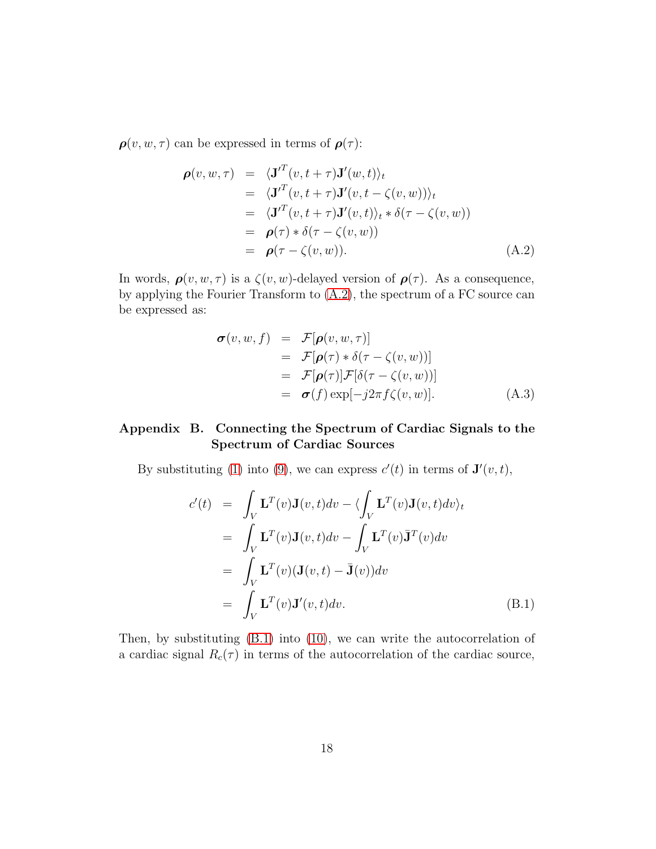$\rho(v, w, \tau)$  can be expressed in terms of  $\rho(\tau)$ :

<span id="page-17-0"></span>
$$
\rho(v, w, \tau) = \langle \mathbf{J}'^T(v, t + \tau) \mathbf{J}'(w, t) \rangle_t
$$
  
\n
$$
= \langle \mathbf{J}'^T(v, t + \tau) \mathbf{J}'(v, t - \zeta(v, w)) \rangle_t
$$
  
\n
$$
= \langle \mathbf{J}'^T(v, t + \tau) \mathbf{J}'(v, t) \rangle_t * \delta(\tau - \zeta(v, w))
$$
  
\n
$$
= \rho(\tau) * \delta(\tau - \zeta(v, w))
$$
  
\n
$$
= \rho(\tau - \zeta(v, w)). \tag{A.2}
$$

In words,  $\rho(v, w, \tau)$  is a  $\zeta(v, w)$ -delayed version of  $\rho(\tau)$ . As a consequence, by applying the Fourier Transform to [\(A.2\)](#page-17-0), the spectrum of a FC source can be expressed as:

$$
\begin{array}{rcl}\n\sigma(v, w, f) & = & \mathcal{F}[\boldsymbol{\rho}(v, w, \tau)] \\
& = & \mathcal{F}[\boldsymbol{\rho}(\tau) * \delta(\tau - \zeta(v, w))] \\
& = & \mathcal{F}[\boldsymbol{\rho}(\tau)] \mathcal{F}[\delta(\tau - \zeta(v, w))] \\
& = & \boldsymbol{\sigma}(f) \exp[-j2\pi f \zeta(v, w)].\n\end{array} \tag{A.3}
$$

# Appendix B. Connecting the Spectrum of Cardiac Signals to the Spectrum of Cardiac Sources

By substituting [\(1\)](#page-3-0) into [\(9\)](#page-4-3), we can express  $c'(t)$  in terms of  $\mathbf{J}'(v,t)$ ,

<span id="page-17-1"></span>
$$
c'(t) = \int_{V} \mathbf{L}^{T}(v) \mathbf{J}(v, t) dv - \langle \int_{V} \mathbf{L}^{T}(v) \mathbf{J}(v, t) dv \rangle_{t}
$$
  
\n
$$
= \int_{V} \mathbf{L}^{T}(v) \mathbf{J}(v, t) dv - \int_{V} \mathbf{L}^{T}(v) \mathbf{\bar{J}}^{T}(v) dv
$$
  
\n
$$
= \int_{V} \mathbf{L}^{T}(v) (\mathbf{J}(v, t) - \mathbf{\bar{J}}(v)) dv
$$
  
\n
$$
= \int_{V} \mathbf{L}^{T}(v) \mathbf{J}'(v, t) dv.
$$
 (B.1)

Then, by substituting [\(B.1\)](#page-17-1) into [\(10\)](#page-4-4), we can write the autocorrelation of a cardiac signal  $R_c(\tau)$  in terms of the autocorrelation of the cardiac source,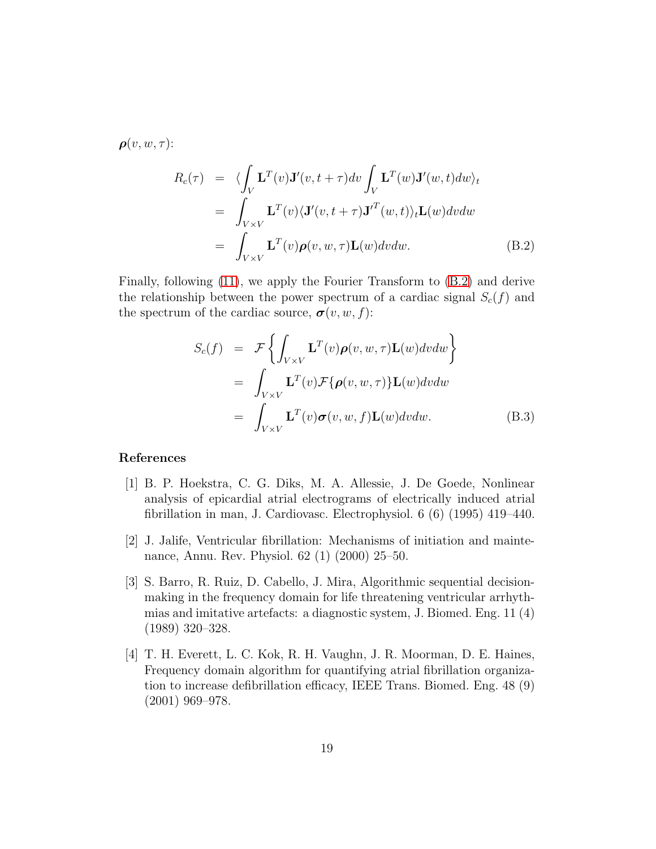$\rho(v, w, \tau)$ :

<span id="page-18-4"></span>
$$
R_c(\tau) = \langle \int_V \mathbf{L}^T(v) \mathbf{J}'(v, t + \tau) dv \int_V \mathbf{L}^T(w) \mathbf{J}'(w, t) dw \rangle_t
$$
  
\n
$$
= \int_{V \times V} \mathbf{L}^T(v) \langle \mathbf{J}'(v, t + \tau) \mathbf{J}'^T(w, t) \rangle_t \mathbf{L}(w) dv dw
$$
  
\n
$$
= \int_{V \times V} \mathbf{L}^T(v) \rho(v, w, \tau) \mathbf{L}(w) dv dw.
$$
 (B.2)

Finally, following [\(11\)](#page-5-2), we apply the Fourier Transform to [\(B.2\)](#page-18-4) and derive the relationship between the power spectrum of a cardiac signal  $S_c(f)$  and the spectrum of the cardiac source,  $\sigma(v, w, f)$ :

$$
S_c(f) = \mathcal{F}\left\{\int_{V\times V} \mathbf{L}^T(v)\rho(v, w, \tau)\mathbf{L}(w)dvdw\right\}
$$
  
\n
$$
= \int_{V\times V} \mathbf{L}^T(v)\mathcal{F}\{\rho(v, w, \tau)\}\mathbf{L}(w)dvdw
$$
  
\n
$$
= \int_{V\times V} \mathbf{L}^T(v)\boldsymbol{\sigma}(v, w, f)\mathbf{L}(w)dvdw.
$$
 (B.3)

# References

- <span id="page-18-0"></span>[1] B. P. Hoekstra, C. G. Diks, M. A. Allessie, J. De Goede, Nonlinear analysis of epicardial atrial electrograms of electrically induced atrial fibrillation in man, J. Cardiovasc. Electrophysiol. 6 (6) (1995) 419–440.
- <span id="page-18-1"></span>[2] J. Jalife, Ventricular fibrillation: Mechanisms of initiation and maintenance, Annu. Rev. Physiol. 62 (1) (2000) 25–50.
- <span id="page-18-2"></span>[3] S. Barro, R. Ruiz, D. Cabello, J. Mira, Algorithmic sequential decisionmaking in the frequency domain for life threatening ventricular arrhythmias and imitative artefacts: a diagnostic system, J. Biomed. Eng. 11 (4) (1989) 320–328.
- <span id="page-18-3"></span>[4] T. H. Everett, L. C. Kok, R. H. Vaughn, J. R. Moorman, D. E. Haines, Frequency domain algorithm for quantifying atrial fibrillation organization to increase defibrillation efficacy, IEEE Trans. Biomed. Eng. 48 (9) (2001) 969–978.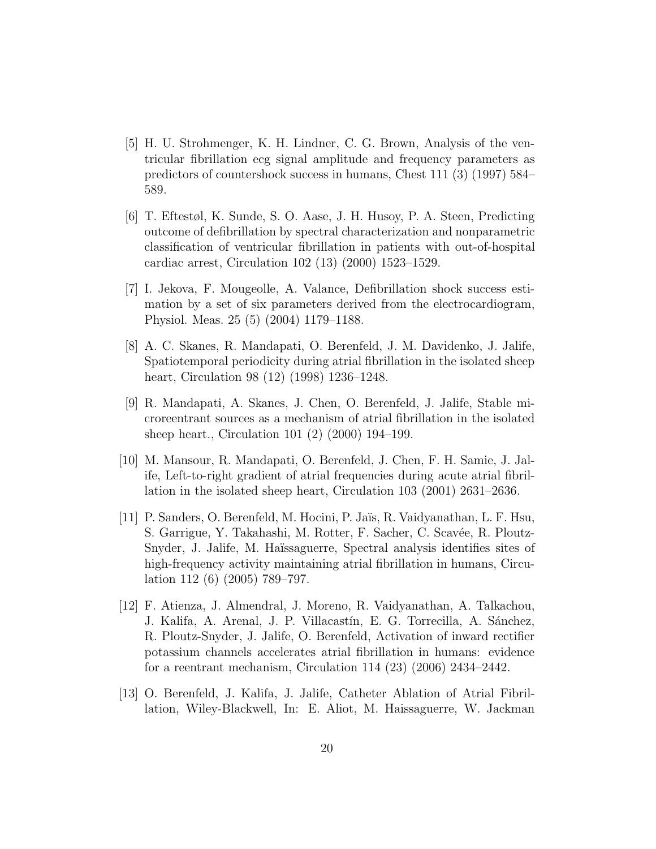- <span id="page-19-0"></span>[5] H. U. Strohmenger, K. H. Lindner, C. G. Brown, Analysis of the ventricular fibrillation ecg signal amplitude and frequency parameters as predictors of countershock success in humans, Chest 111 (3) (1997) 584– 589.
- <span id="page-19-1"></span>[6] T. Eftestøl, K. Sunde, S. O. Aase, J. H. Husoy, P. A. Steen, Predicting outcome of defibrillation by spectral characterization and nonparametric classification of ventricular fibrillation in patients with out-of-hospital cardiac arrest, Circulation 102 (13) (2000) 1523–1529.
- <span id="page-19-2"></span>[7] I. Jekova, F. Mougeolle, A. Valance, Defibrillation shock success estimation by a set of six parameters derived from the electrocardiogram, Physiol. Meas. 25 (5) (2004) 1179–1188.
- <span id="page-19-3"></span>[8] A. C. Skanes, R. Mandapati, O. Berenfeld, J. M. Davidenko, J. Jalife, Spatiotemporal periodicity during atrial fibrillation in the isolated sheep heart, Circulation 98 (12) (1998) 1236–1248.
- <span id="page-19-4"></span>[9] R. Mandapati, A. Skanes, J. Chen, O. Berenfeld, J. Jalife, Stable microreentrant sources as a mechanism of atrial fibrillation in the isolated sheep heart., Circulation 101 (2) (2000) 194–199.
- <span id="page-19-5"></span>[10] M. Mansour, R. Mandapati, O. Berenfeld, J. Chen, F. H. Samie, J. Jalife, Left-to-right gradient of atrial frequencies during acute atrial fibrillation in the isolated sheep heart, Circulation 103 (2001) 2631–2636.
- <span id="page-19-6"></span>[11] P. Sanders, O. Berenfeld, M. Hocini, P. Ja¨ıs, R. Vaidyanathan, L. F. Hsu, S. Garrigue, Y. Takahashi, M. Rotter, F. Sacher, C. Scavée, R. Ploutz-Snyder, J. Jalife, M. Ha¨ıssaguerre, Spectral analysis identifies sites of high-frequency activity maintaining atrial fibrillation in humans, Circulation 112 (6) (2005) 789–797.
- <span id="page-19-7"></span>[12] F. Atienza, J. Almendral, J. Moreno, R. Vaidyanathan, A. Talkachou, J. Kalifa, A. Arenal, J. P. Villacastín, E. G. Torrecilla, A. Sánchez, R. Ploutz-Snyder, J. Jalife, O. Berenfeld, Activation of inward rectifier potassium channels accelerates atrial fibrillation in humans: evidence for a reentrant mechanism, Circulation 114 (23) (2006) 2434–2442.
- <span id="page-19-8"></span>[13] O. Berenfeld, J. Kalifa, J. Jalife, Catheter Ablation of Atrial Fibrillation, Wiley-Blackwell, In: E. Aliot, M. Haissaguerre, W. Jackman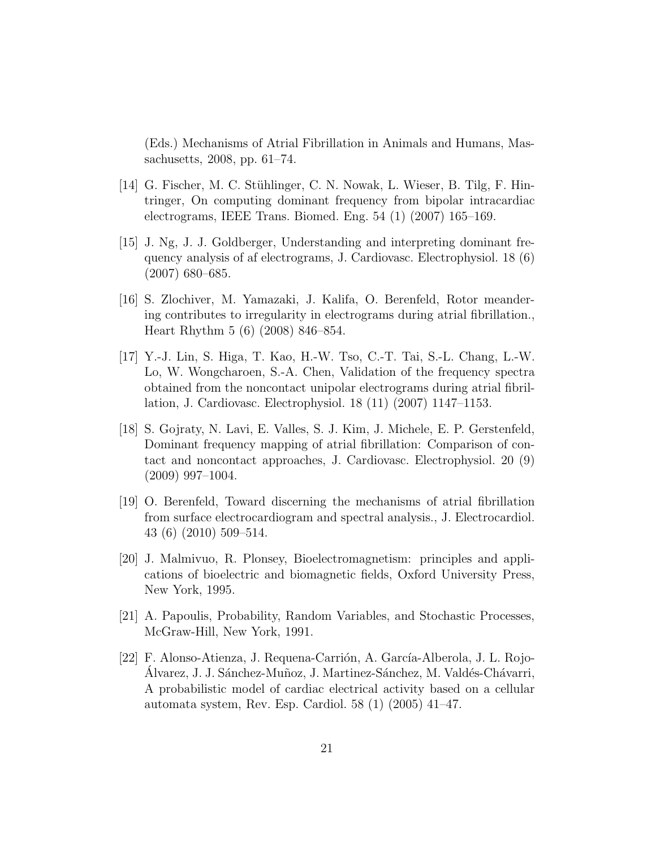(Eds.) Mechanisms of Atrial Fibrillation in Animals and Humans, Massachusetts, 2008, pp. 61–74.

- <span id="page-20-0"></span>[14] G. Fischer, M. C. Stühlinger, C. N. Nowak, L. Wieser, B. Tilg, F. Hintringer, On computing dominant frequency from bipolar intracardiac electrograms, IEEE Trans. Biomed. Eng. 54 (1) (2007) 165–169.
- <span id="page-20-1"></span>[15] J. Ng, J. J. Goldberger, Understanding and interpreting dominant frequency analysis of af electrograms, J. Cardiovasc. Electrophysiol. 18 (6) (2007) 680–685.
- <span id="page-20-2"></span>[16] S. Zlochiver, M. Yamazaki, J. Kalifa, O. Berenfeld, Rotor meandering contributes to irregularity in electrograms during atrial fibrillation., Heart Rhythm 5 (6) (2008) 846–854.
- <span id="page-20-3"></span>[17] Y.-J. Lin, S. Higa, T. Kao, H.-W. Tso, C.-T. Tai, S.-L. Chang, L.-W. Lo, W. Wongcharoen, S.-A. Chen, Validation of the frequency spectra obtained from the noncontact unipolar electrograms during atrial fibrillation, J. Cardiovasc. Electrophysiol. 18 (11) (2007) 1147–1153.
- <span id="page-20-4"></span>[18] S. Gojraty, N. Lavi, E. Valles, S. J. Kim, J. Michele, E. P. Gerstenfeld, Dominant frequency mapping of atrial fibrillation: Comparison of contact and noncontact approaches, J. Cardiovasc. Electrophysiol. 20 (9) (2009) 997–1004.
- <span id="page-20-5"></span>[19] O. Berenfeld, Toward discerning the mechanisms of atrial fibrillation from surface electrocardiogram and spectral analysis., J. Electrocardiol. 43 (6) (2010) 509–514.
- <span id="page-20-6"></span>[20] J. Malmivuo, R. Plonsey, Bioelectromagnetism: principles and applications of bioelectric and biomagnetic fields, Oxford University Press, New York, 1995.
- <span id="page-20-7"></span>[21] A. Papoulis, Probability, Random Variables, and Stochastic Processes, McGraw-Hill, New York, 1991.
- <span id="page-20-8"></span>[22] F. Alonso-Atienza, J. Requena-Carrión, A. García-Alberola, J. L. Rojo-Alvarez, J. J. Sánchez-Muñoz, J. Martinez-Sánchez, M. Valdés-Chávarri, A probabilistic model of cardiac electrical activity based on a cellular automata system, Rev. Esp. Cardiol. 58 (1) (2005) 41–47.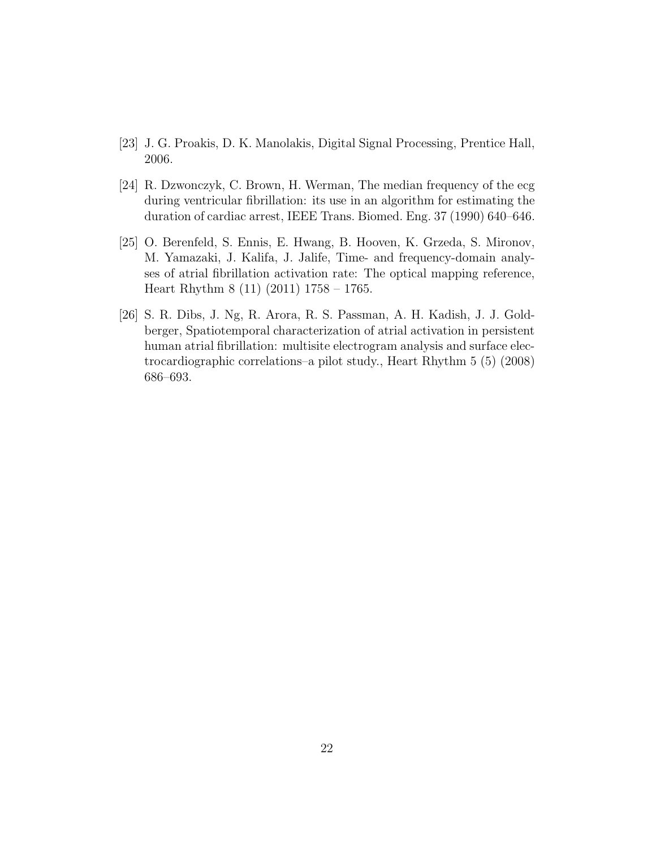- <span id="page-21-0"></span>[23] J. G. Proakis, D. K. Manolakis, Digital Signal Processing, Prentice Hall, 2006.
- <span id="page-21-1"></span>[24] R. Dzwonczyk, C. Brown, H. Werman, The median frequency of the ecg during ventricular fibrillation: its use in an algorithm for estimating the duration of cardiac arrest, IEEE Trans. Biomed. Eng. 37 (1990) 640–646.
- <span id="page-21-2"></span>[25] O. Berenfeld, S. Ennis, E. Hwang, B. Hooven, K. Grzeda, S. Mironov, M. Yamazaki, J. Kalifa, J. Jalife, Time- and frequency-domain analyses of atrial fibrillation activation rate: The optical mapping reference, Heart Rhythm 8 (11) (2011) 1758 – 1765.
- <span id="page-21-3"></span>[26] S. R. Dibs, J. Ng, R. Arora, R. S. Passman, A. H. Kadish, J. J. Goldberger, Spatiotemporal characterization of atrial activation in persistent human atrial fibrillation: multisite electrogram analysis and surface electrocardiographic correlations–a pilot study., Heart Rhythm 5 (5) (2008) 686–693.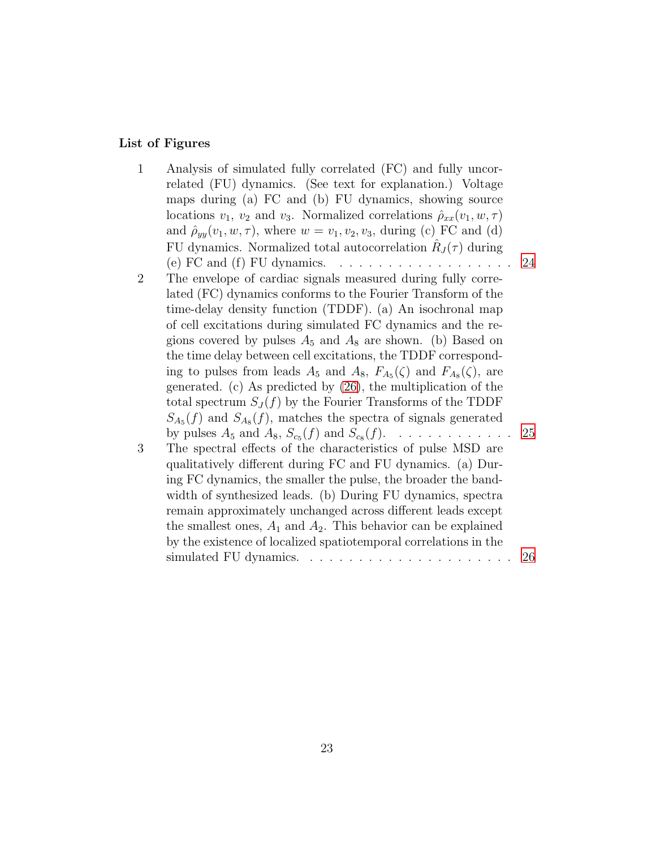## List of Figures

- 1 Analysis of simulated fully correlated (FC) and fully uncorrelated (FU) dynamics. (See text for explanation.) Voltage maps during (a) FC and (b) FU dynamics, showing source locations  $v_1, v_2$  and  $v_3$ . Normalized correlations  $\hat{\rho}_{xx}(v_1, w, \tau)$ and  $\hat{\rho}_{yy}(v_1, w, \tau)$ , where  $w = v_1, v_2, v_3$ , during (c) FC and (d) FU dynamics. Normalized total autocorrelation  $\hat{R}_J(\tau)$  during (e) FC and (f) FU dynamics. . . . . . . . . . . . . . . . . . . [24](#page-23-0)
- 2 The envelope of cardiac signals measured during fully correlated (FC) dynamics conforms to the Fourier Transform of the time-delay density function (TDDF). (a) An isochronal map of cell excitations during simulated FC dynamics and the regions covered by pulses  $A_5$  and  $A_8$  are shown. (b) Based on the time delay between cell excitations, the TDDF corresponding to pulses from leads  $A_5$  and  $A_8$ ,  $F_{A_5}(\zeta)$  and  $F_{A_8}(\zeta)$ , are generated. (c) As predicted by [\(26\)](#page-8-1), the multiplication of the total spectrum  $S_J(f)$  by the Fourier Transforms of the TDDF  $S_{A_5}(f)$  and  $S_{A_8}(f)$ , matches the spectra of signals generated by pulses  $A_5$  and  $A_8$ ,  $S_{c_5}(f)$  and  $S_{c_8}(f)$ . . . . . . . . . . . . . [25](#page-24-0) 3 The spectral effects of the characteristics of pulse MSD are qualitatively different during FC and FU dynamics. (a) During FC dynamics, the smaller the pulse, the broader the bandwidth of synthesized leads. (b) During FU dynamics, spectra
	- remain approximately unchanged across different leads except the smallest ones,  $A_1$  and  $A_2$ . This behavior can be explained by the existence of localized spatiotemporal correlations in the
	- simulated FU dynamics.  $\ldots \ldots \ldots \ldots \ldots \ldots \ldots \ldots \ldots \quad 26$  $\ldots \ldots \ldots \ldots \ldots \ldots \ldots \ldots \ldots \quad 26$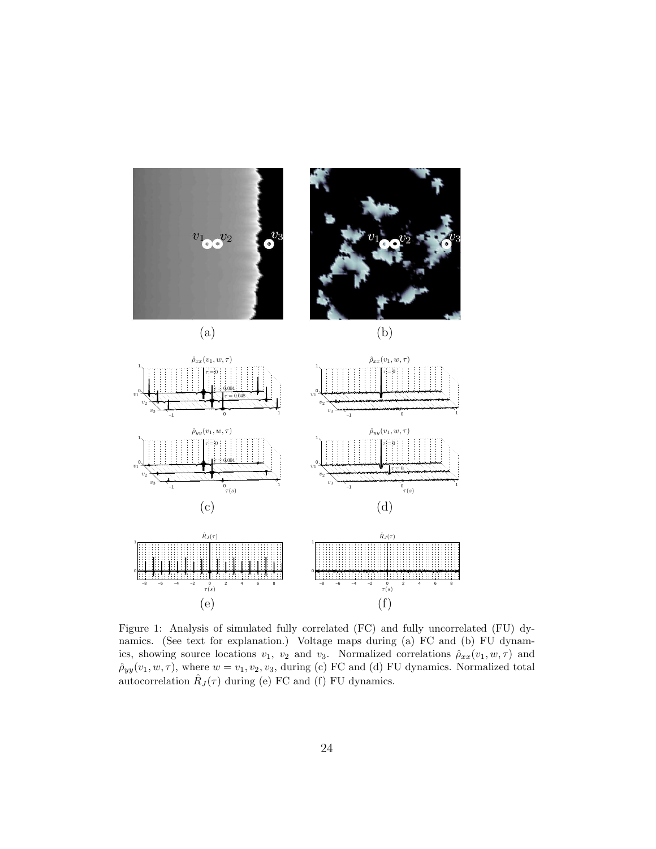

<span id="page-23-0"></span>Figure 1: Analysis of simulated fully correlated (FC) and fully uncorrelated (FU) dynamics. (See text for explanation.) Voltage maps during (a) FC and (b) FU dynamics, showing source locations  $v_1$ ,  $v_2$  and  $v_3$ . Normalized correlations  $\hat{\rho}_{xx}(v_1, w, \tau)$  and  $\rho_{yy}(v_1, w, \tau)$ , where  $w = v_1, v_2, v_3$ , during (c) FC and (d) FU dynamics. Normalized total autocorrelation  $\hat{R}_J(\tau)$  during (e) FC and (f) FU dynamics.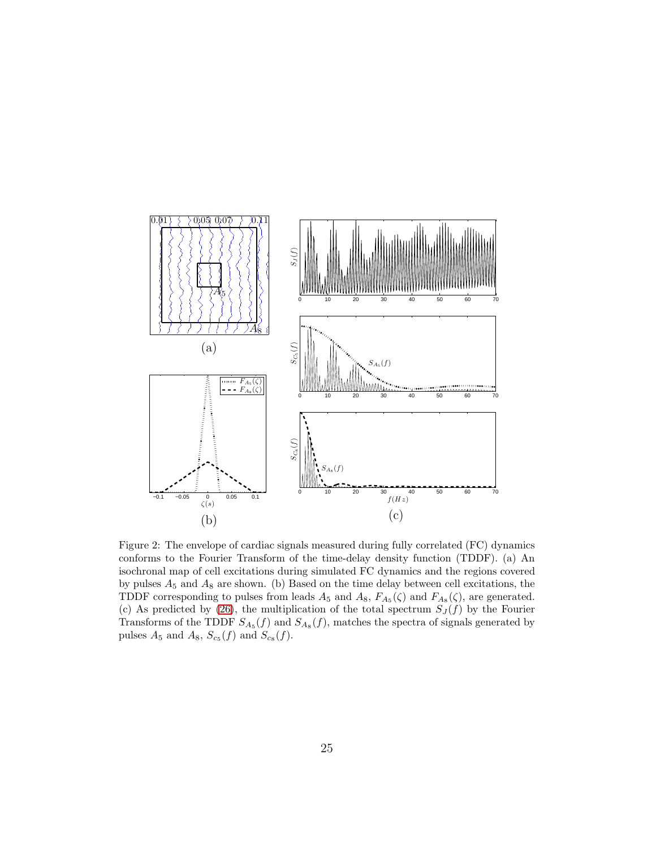

<span id="page-24-0"></span>Figure 2: The envelope of cardiac signals measured during fully correlated (FC) dynamics conforms to the Fourier Transform of the time-delay density function (TDDF). (a) An isochronal map of cell excitations during simulated FC dynamics and the regions covered by pulses  $A_5$  and  $A_8$  are shown. (b) Based on the time delay between cell excitations, the TDDF corresponding to pulses from leads  $A_5$  and  $A_8$ ,  $F_{A_5}(\zeta)$  and  $F_{A_8}(\zeta)$ , are generated. (c) As predicted by [\(26\)](#page-8-1), the multiplication of the total spectrum  $S_J(f)$  by the Fourier Transforms of the TDDF  $S_{A_5}(f)$  and  $S_{A_8}(f)$ , matches the spectra of signals generated by pulses  $A_5$  and  $A_8$ ,  $S_{c_5}(f)$  and  $S_{c_8}(f)$ .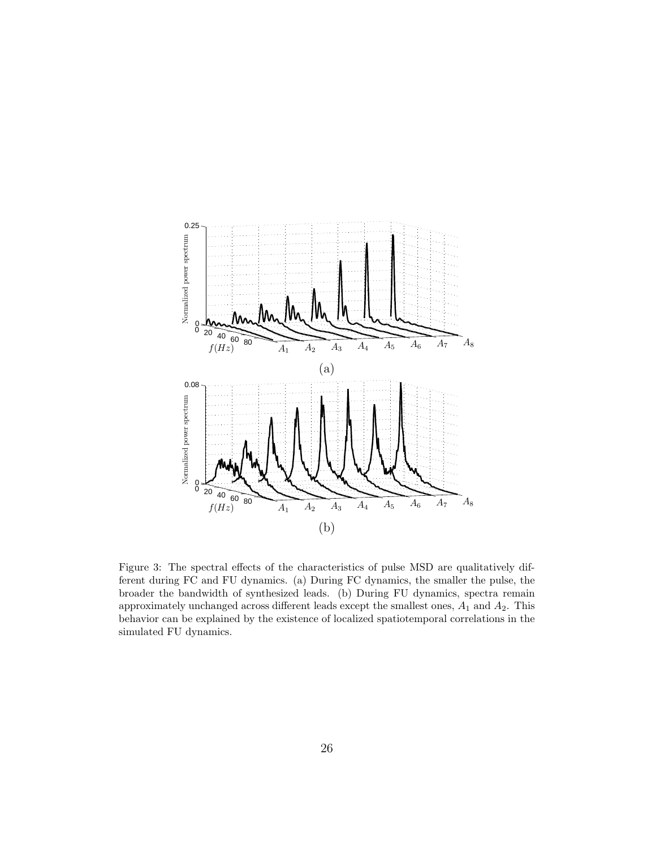

<span id="page-25-0"></span>Figure 3: The spectral effects of the characteristics of pulse MSD are qualitatively different during FC and FU dynamics. (a) During FC dynamics, the smaller the pulse, the broader the bandwidth of synthesized leads. (b) During FU dynamics, spectra remain approximately unchanged across different leads except the smallest ones,  $A_1$  and  $A_2$ . This behavior can be explained by the existence of localized spatiotemporal correlations in the simulated FU dynamics.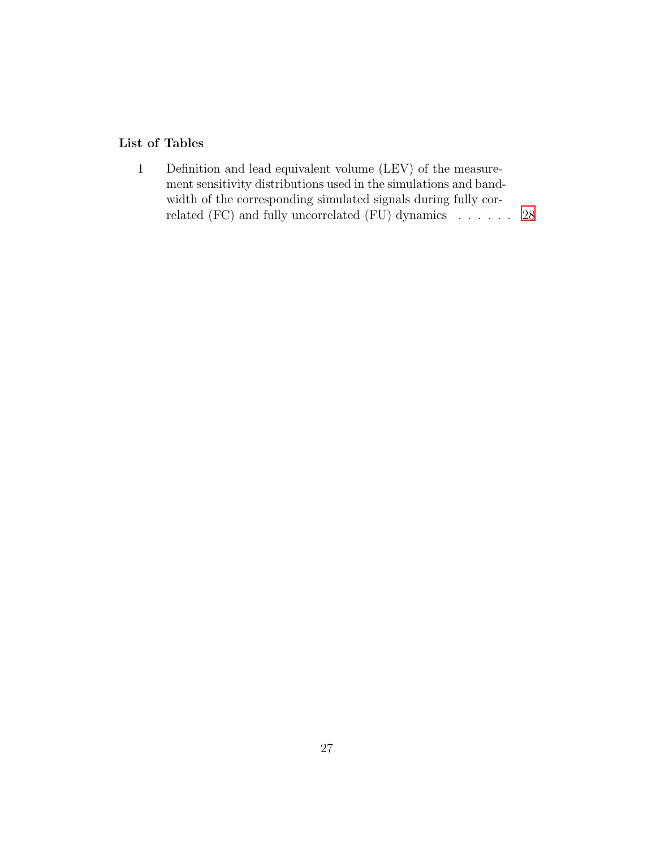# List of Tables

1 Definition and lead equivalent volume (LEV) of the measurement sensitivity distributions used in the simulations and bandwidth of the corresponding simulated signals during fully correlated (FC) and fully uncorrelated (FU) dynamics  $\phantom{1}.\phantom{1}.\phantom{1}.\phantom{1}.\phantom{1}$